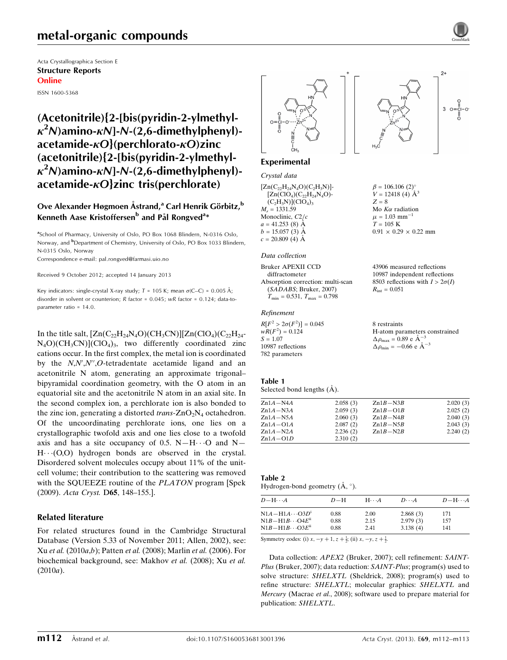# metal-organic compounds

Acta Crystallographica Section E Structure Reports Online ISSN 1600-5368

(Acetonitrile){2-[bis(pyridin-2-ylmethyl- $\kappa^2$ N)amino- $\kappa$ N]-N-(2,6-dimethylphenyl)acetamide- $\kappa$ O}(perchlorato- $\kappa$ O)zinc (acetonitrile){2-[bis(pyridin-2-ylmethyl- $\kappa^2$ N)amino- $\kappa$ N]-N-(2,6-dimethylphenyl)acetamide- $\kappa$ O}zinc tris(perchlorate)

#### Ove Alexander Høgmoen Åstrand,<sup>a</sup> Carl Henrik Görbitz,<sup>b</sup> Kenneth Aase Kristoffersen<sup>b</sup> and Pål Rongved<sup>a</sup>\*

<sup>a</sup>School of Pharmacy, University of Oslo, PO Box 1068 Blindern, N-0316 Oslo, Norway, and <sup>b</sup>Department of Chemistry, University of Oslo, PO Box 1033 Blindern, N-0315 Oslo, Norway Correspondence e-mail: [pal.rongved@farmasi.uio.no](https://scripts.iucr.org/cgi-bin/cr.cgi?rm=pdfbb&cnor=hb6972&bbid=BB10)

Received 9 October 2012; accepted 14 January 2013

Key indicators: single-crystal X-ray study;  $T = 105$  K; mean  $\sigma$ (C–C) = 0.005 Å; disorder in solvent or counterion; R factor = 0.045; wR factor = 0.124; data-toparameter ratio = 14.0.

In the title salt,  $[Zn(C_2,H_{24}N_4O)(CH_3CN)][Zn(CIO_4)(C_2,H_{24}-C_4)$  $N_4O$ )(CH<sub>3</sub>CN)](ClO<sub>4</sub>)<sub>3</sub>, two differently coordinated zinc cations occur. In the first complex, the metal ion is coordinated by the  $N, N', N'', O$ -tetradentate acetamide ligand and an acetonitrile N atom, generating an approximate trigonal– bipyramidal coordination geometry, with the O atom in an equatorial site and the acetonitrile N atom in an axial site. In the second complex ion, a perchlorate ion is also bonded to the zinc ion, generating a distorted *trans*- $ZnO<sub>2</sub>N<sub>4</sub>$  octahedron. Of the uncoordinating perchlorate ions, one lies on a crystallographic twofold axis and one lies close to a twofold axis and has a site occupancy of 0.5.  $N-H\cdots O$  and  $N-$ H. (O,O) hydrogen bonds are observed in the crystal. Disordered solvent molecules occupy about 11% of the unitcell volume; their contribution to the scattering was removed with the SQUEEZE routine of the PLATON program [Spek (2009). Acta Cryst. D65, 148–155.].

#### Related literature

For related structures found in the Cambridge Structural Database (Version 5.33 of November 2011; Allen, 2002), see: Xu et al. (2010a,b); Patten et al. (2008); Marlin et al. (2006). For biochemical background, see: Makhov et al. (2008); Xu et al. (2010a).



# $^{2+}$ 3  $o = \frac{1}{10} - o$

 $\beta = 106.106$  (2)<sup>o</sup>  $V = 12418(4)$   $\AA^3$ 

Mo  $K\alpha$  radiation  $\mu = 1.03$  mm<sup>-1</sup>  $T = 105$  K

 $R_{\rm int} = 0.051$ 

 $0.91 \times 0.29 \times 0.22$  mm

43906 measured reflections 10987 independent reflections 8503 reflections with  $I > 2\sigma(I)$ 

 $Z = 8$ 

#### Experimental

#### Crystal data

| $[Zn(C_{22}H_{24}N_4O)(C_2H_3N)]$ - |
|-------------------------------------|
| $[Zn(CIO4)(C22H24N4O)-$             |
| $(C_2H_3N)[ClO_4]_3$                |
| $M_r = 1331.59$                     |
| Monoclinic, C <sub>2</sub> /c       |
| $a = 41.253$ (8) $\AA$              |
| $b = 15.057(3)$ Å                   |
| $c = 20.809$ (4) Å                  |

Data collection

| Bruker APEXII CCD                                |
|--------------------------------------------------|
| diffractometer                                   |
| Absorption correction: multi-scan                |
| (SADABS; Bruker, 2007)                           |
| $T_{\text{min}} = 0.531, T_{\text{max}} = 0.798$ |

#### Refinement

| $R[F^2 > 2\sigma(F^2)] = 0.045$ | 8 restraints                                       |
|---------------------------------|----------------------------------------------------|
| $wR(F^2) = 0.124$               | H-atom parameters constrained                      |
| $S = 1.07$                      | $\Delta \rho_{\text{max}} = 0.89 \text{ e A}^{-3}$ |
| 10987 reflections               | $\Delta \rho_{\text{min}} = -0.66$ e $\AA^{-3}$    |
| 782 parameters                  |                                                    |

#### Table 1

Selected bond lengths  $(\AA)$ .

| $Zn1A-N4A$   | 2.058(3) | $Zn1B-N3B$ | 2.020(3) |
|--------------|----------|------------|----------|
| $Zn1A-N3A$   | 2.059(3) | $Zn1B-O1B$ | 2.025(2) |
| $Zn1A-N5A$   | 2.060(3) | $Zn1B-N4B$ | 2.040(3) |
| $Zn1A-O1A$   | 2.087(2) | $Zn1B-N5B$ | 2.043(3) |
| $Zn1A-N2A$   | 2.236(2) | $Zn1B-N2B$ | 2.240(2) |
| $Zn1A - O1D$ | 2.310(2) |            |          |

#### Table 2

Hydrogen-bond geometry  $(\mathring{A}, \degree)$ .

| $D - H \cdots A$         | $D-H$ | $H\cdots A$ | $D\cdots A$ | $D - H \cdots A$ |
|--------------------------|-------|-------------|-------------|------------------|
| $N1A - H1A \cdots O3D^1$ | 0.88  | 2.00        | 2.868(3)    | 171              |
| $N1B-H1B\cdots O4E^{ii}$ | 0.88  | 2.15        | 2.979(3)    | 157              |
| $N1B-H1B\cdots O3E^{ii}$ | 0.88  | 2.41        | 3.138(4)    | 141              |

Symmetry codes: (i)  $x, -y + 1, z + \frac{1}{2}$ ; (ii)  $x, -y, z + \frac{1}{2}$ .

Data collection: APEX2 (Bruker, 2007); cell refinement: SAINT-Plus (Bruker, 2007); data reduction: SAINT-Plus; program(s) used to solve structure: SHELXTL (Sheldrick, 2008); program(s) used to refine structure: SHELXTL; molecular graphics: SHELXTL and Mercury (Macrae et al., 2008); software used to prepare material for publication: SHELXTL.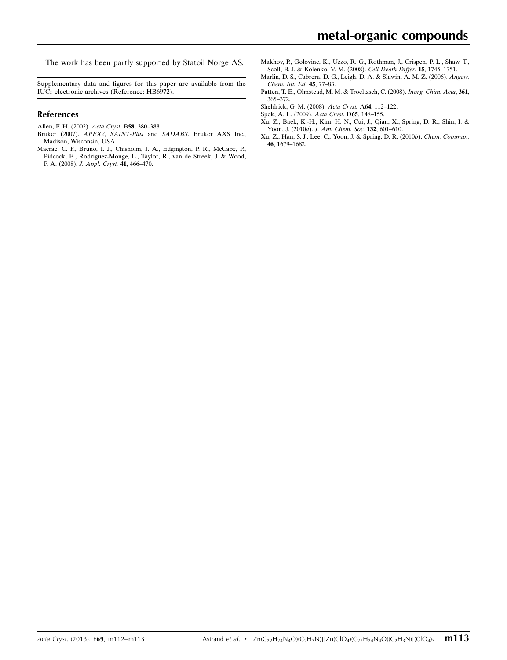The work has been partly supported by Statoil Norge AS.

Supplementary data and figures for this paper are available from the IUCr electronic archives (Reference: HB6972).

#### References

- [Allen, F. H. \(2002\).](https://scripts.iucr.org/cgi-bin/cr.cgi?rm=pdfbb&cnor=hb6972&bbid=BB1) Acta Cryst. B58, 380–388.
- Bruker (2007). APEX2, SAINT-Plus and SADABS[. Bruker AXS Inc.,](https://scripts.iucr.org/cgi-bin/cr.cgi?rm=pdfbb&cnor=hb6972&bbid=BB2) [Madison, Wisconsin, USA.](https://scripts.iucr.org/cgi-bin/cr.cgi?rm=pdfbb&cnor=hb6972&bbid=BB2)
- [Macrae, C. F., Bruno, I. J., Chisholm, J. A., Edgington, P. R., McCabe, P.,](https://scripts.iucr.org/cgi-bin/cr.cgi?rm=pdfbb&cnor=hb6972&bbid=BB3) [Pidcock, E., Rodriguez-Monge, L., Taylor, R., van de Streek, J. & Wood,](https://scripts.iucr.org/cgi-bin/cr.cgi?rm=pdfbb&cnor=hb6972&bbid=BB3) P. A. (2008). [J. Appl. Cryst.](https://scripts.iucr.org/cgi-bin/cr.cgi?rm=pdfbb&cnor=hb6972&bbid=BB3) 41, 466–470.
- [Makhov, P., Golovine, K., Uzzo, R. G., Rothman, J., Crispen, P. L., Shaw, T.,](https://scripts.iucr.org/cgi-bin/cr.cgi?rm=pdfbb&cnor=hb6972&bbid=BB4) [Scoll, B. J. & Kolenko, V. M. \(2008\).](https://scripts.iucr.org/cgi-bin/cr.cgi?rm=pdfbb&cnor=hb6972&bbid=BB4) Cell Death Differ. 15, 1745–1751.
- [Marlin, D. S., Cabrera, D. G., Leigh, D. A. & Slawin, A. M. Z. \(2006\).](https://scripts.iucr.org/cgi-bin/cr.cgi?rm=pdfbb&cnor=hb6972&bbid=BB5) Angew. [Chem. Int. Ed.](https://scripts.iucr.org/cgi-bin/cr.cgi?rm=pdfbb&cnor=hb6972&bbid=BB5) 45, 77–83.
- [Patten, T. E., Olmstead, M. M. & Troeltzsch, C. \(2008\).](https://scripts.iucr.org/cgi-bin/cr.cgi?rm=pdfbb&cnor=hb6972&bbid=BB6) Inorg. Chim. Acta, 361, [365–372.](https://scripts.iucr.org/cgi-bin/cr.cgi?rm=pdfbb&cnor=hb6972&bbid=BB6)
- [Sheldrick, G. M. \(2008\).](https://scripts.iucr.org/cgi-bin/cr.cgi?rm=pdfbb&cnor=hb6972&bbid=BB7) Acta Cryst. A64, 112–122.
- [Spek, A. L. \(2009\).](https://scripts.iucr.org/cgi-bin/cr.cgi?rm=pdfbb&cnor=hb6972&bbid=BB8) Acta Cryst. D65, 148–155.
- [Xu, Z., Baek, K.-H., Kim, H. N., Cui, J., Qian, X., Spring, D. R., Shin, I. &](https://scripts.iucr.org/cgi-bin/cr.cgi?rm=pdfbb&cnor=hb6972&bbid=BB9) Yoon, J. (2010a). [J. Am. Chem. Soc.](https://scripts.iucr.org/cgi-bin/cr.cgi?rm=pdfbb&cnor=hb6972&bbid=BB9) 132, 601–610.
- [Xu, Z., Han, S. J., Lee, C., Yoon, J. & Spring, D. R. \(2010](https://scripts.iucr.org/cgi-bin/cr.cgi?rm=pdfbb&cnor=hb6972&bbid=BB10)b). Chem. Commun. 46[, 1679–1682.](https://scripts.iucr.org/cgi-bin/cr.cgi?rm=pdfbb&cnor=hb6972&bbid=BB10)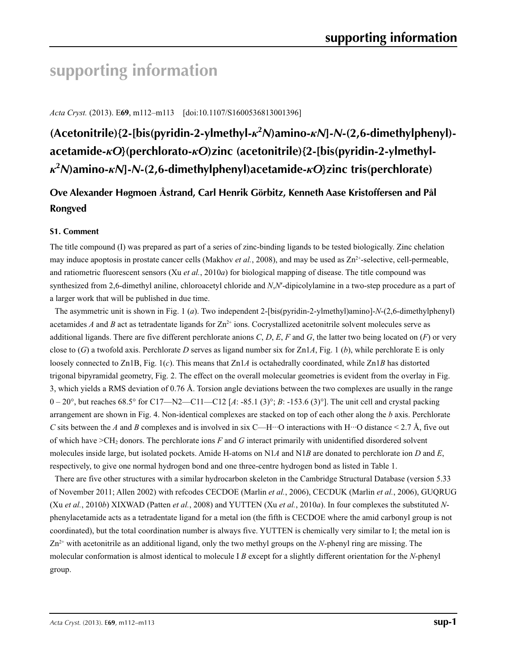# **supporting information**

*Acta Cryst.* (2013). E**69**, m112–m113 [doi:10.1107/S1600536813001396]

**(Acetonitrile){2-[bis(pyridin-2-ylmethyl-***κ***<sup>2</sup>** *N***)amino-***κN***]-***N***-(2,6-dimethylphenyl) acetamide-***κO***}(perchlorato-***κO***)zinc (acetonitrile){2-[bis(pyridin-2-ylmethyl***κ***2** *N***)amino-***κN***]-***N***-(2,6-dimethylphenyl)acetamide-***κO***}zinc tris(perchlorate)**

# **Ove Alexander Høgmoen Åstrand, Carl Henrik Görbitz, Kenneth Aase Kristoffersen and Pål Rongved**

#### **S1. Comment**

The title compound (I) was prepared as part of a series of zinc-binding ligands to be tested biologically. Zinc chelation may induce apoptosis in prostate cancer cells (Makhov *et al.*, 2008), and may be used as  $Zn^{2+}$ -selective, cell-permeable, and ratiometric fluorescent sensors (Xu *et al.*, 2010*a*) for biological mapping of disease. The title compound was synthesized from 2,6-dimethyl aniline, chloroacetyl chloride and *N*,*N*′-dipicolylamine in a two-step procedure as a part of a larger work that will be published in due time.

The asymmetric unit is shown in Fig. 1 (*a*). Two independent 2-[bis(pyridin-2-ylmethyl)amino]-*N*-(2,6-dimethylphenyl) acetamides *A* and *B* act as tetradentate ligands for  $Zn^{2+}$  ions. Cocrystallized acetonitrile solvent molecules serve as additional ligands. There are five different perchlorate anions *C*, *D*, *E*, *F* and *G*, the latter two being located on (*F*) or very close to (*G*) a twofold axis. Perchlorate *D* serves as ligand number six for Zn1*A*, Fig. 1 (*b*), while perchlorate E is only loosely connected to Zn1B, Fig. 1(*c*). This means that Zn1*A* is octahedrally coordinated, while Zn1*B* has distorted trigonal bipyramidal geometry, Fig. 2. The effect on the overall molecular geometries is evident from the overlay in Fig. 3, which yields a RMS deviation of 0.76 Å. Torsion angle deviations between the two complexes are usually in the range 0 – 20°, but reaches 68.5° for C17—N2—C11—C12 [*A*: -85.1 (3)°; *B*: -153.6 (3)°]. The unit cell and crystal packing arrangement are shown in Fig. 4. Non-identical complexes are stacked on top of each other along the *b* axis. Perchlorate *C* sits between the *A* and *B* complexes and is involved in six C—H···O interactions with H···O distance < 2.7 Å, five out of which have >CH2 donors. The perchlorate ions *F* and *G* interact primarily with unidentified disordered solvent molecules inside large, but isolated pockets. Amide H-atoms on N1*A* and N1*B* are donated to perchlorate ion *D* and *E*, respectively, to give one normal hydrogen bond and one three-centre hydrogen bond as listed in Table 1.

There are five other structures with a similar hydrocarbon skeleton in the Cambridge Structural Database (version 5.33 of November 2011; Allen 2002) with refcodes CECDOE (Marlin *et al.*, 2006), CECDUK (Marlin *et al.*, 2006), GUQRUG (Xu *et al.*, 2010*b*) XIXWAD (Patten *et al.*, 2008) and YUTTEN (Xu *et al.*, 2010*a*). In four complexes the substituted *N*phenylacetamide acts as a tetradentate ligand for a metal ion (the fifth is CECDOE where the amid carbonyl group is not coordinated), but the total coordination number is always five. YUTTEN is chemically very similar to I; the metal ion is Zn2+ with acetonitrile as an additional ligand, only the two methyl groups on the *N*-phenyl ring are missing. The molecular conformation is almost identical to molecule I *B* except for a slightly different orientation for the *N*-phenyl group.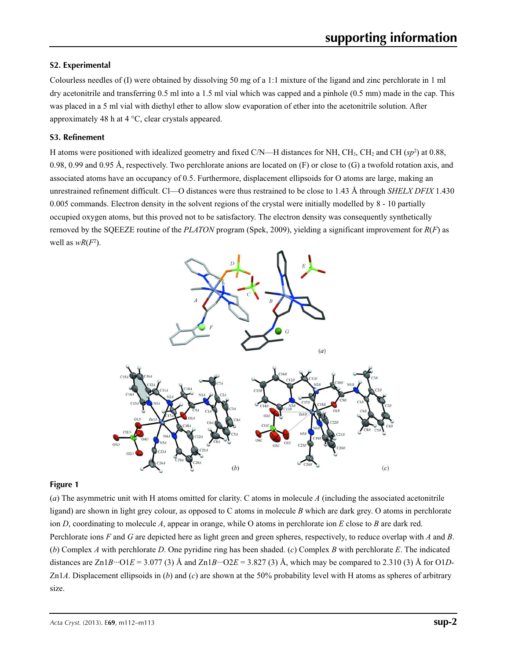#### **S2. Experimental**

Colourless needles of (I) were obtained by dissolving 50 mg of a 1:1 mixture of the ligand and zinc perchlorate in 1 ml dry acetonitrile and transferring 0.5 ml into a 1.5 ml vial which was capped and a pinhole (0.5 mm) made in the cap. This was placed in a 5 ml vial with diethyl ether to allow slow evaporation of ether into the acetonitrile solution. After approximately 48 h at 4 °C, clear crystals appeared.

#### **S3. Refinement**

H atoms were positioned with idealized geometry and fixed  $C/N$ —H distances for NH, CH<sub>3</sub>, CH<sub>2</sub> and CH ( $sp<sup>2</sup>$ ) at 0.88, 0.98, 0.99 and 0.95 Å, respectively. Two perchlorate anions are located on  $(F)$  or close to  $(G)$  a twofold rotation axis, and associated atoms have an occupancy of 0.5. Furthermore, displacement ellipsoids for O atoms are large, making an unrestrained refinement difficult. Cl—O distances were thus restrained to be close to 1.43 Å through *SHELX DFIX* 1.430 0.005 commands. Electron density in the solvent regions of the crystal were initially modelled by 8 - 10 partially occupied oxygen atoms, but this proved not to be satisfactory. The electron density was consequently synthetically removed by the SQEEZE routine of the *PLATON* program (Spek, 2009), yielding a significant improvement for *R*(*F*) as well as  $wR(F^2)$ .



#### **Figure 1**

(*a*) The asymmetric unit with H atoms omitted for clarity. C atoms in molecule *A* (including the associated acetonitrile ligand) are shown in light grey colour, as opposed to C atoms in molecule *B* which are dark grey. O atoms in perchlorate ion *D*, coordinating to molecule *A*, appear in orange, while O atoms in perchlorate ion *E* close to *B* are dark red. Perchlorate ions *F* and *G* are depicted here as light green and green spheres, respectively, to reduce overlap with *A* and *B*. (*b*) Complex *A* with perchlorate *D*. One pyridine ring has been shaded. (*c*) Complex *B* with perchlorate *E*. The indicated distances are  $Zn1B\cdots$ O1*E* = 3.077 (3) Å and  $Zn1B\cdots$ O2*E* = 3.827 (3) Å, which may be compared to 2.310 (3) Å for O1*D*-Zn1*A*. Displacement ellipsoids in (*b*) and (*c*) are shown at the 50% probability level with H atoms as spheres of arbitrary size.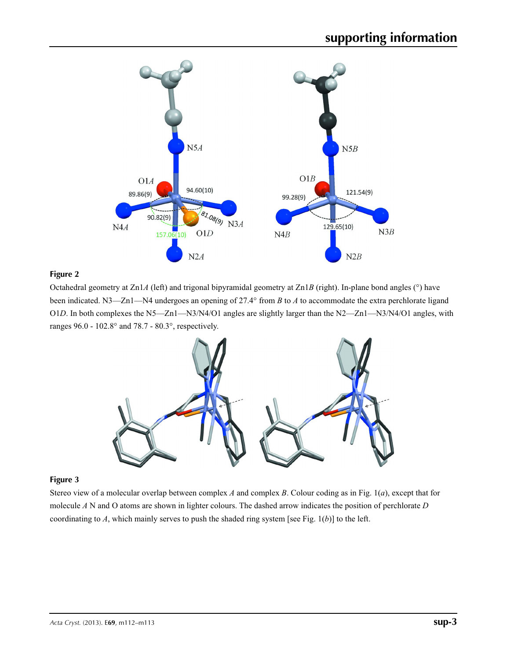

#### **Figure 2**

Octahedral geometry at Zn1*A* (left) and trigonal bipyramidal geometry at Zn1*B* (right). In-plane bond angles (°) have been indicated. N3—Zn1—N4 undergoes an opening of 27.4° from *B* to *A* to accommodate the extra perchlorate ligand O1*D*. In both complexes the N5—Zn1—N3/N4/O1 angles are slightly larger than the N2—Zn1—N3/N4/O1 angles, with ranges 96.0 - 102.8° and 78.7 - 80.3°, respectively.



#### **Figure 3**

Stereo view of a molecular overlap between complex *A* and complex *B*. Colour coding as in Fig. 1(*a*), except that for molecule *A* N and O atoms are shown in lighter colours. The dashed arrow indicates the position of perchlorate *D* coordinating to *A*, which mainly serves to push the shaded ring system [see Fig. 1(*b*)] to the left.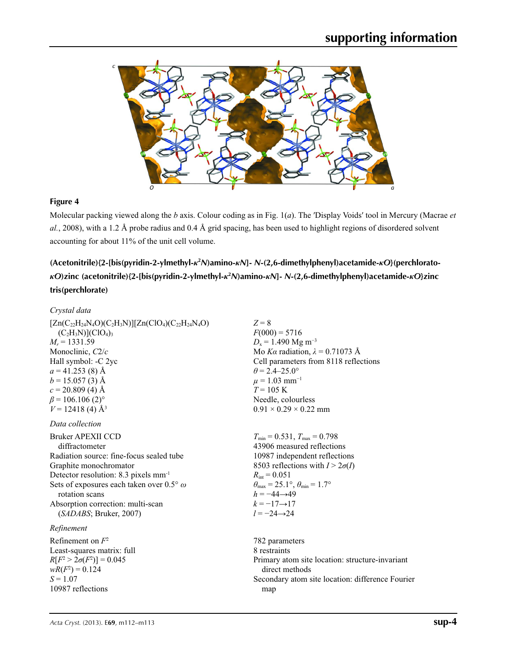

#### **Figure 4**

Molecular packing viewed along the *b* axis. Colour coding as in Fig. 1(*a*). The ′Display Voids′ tool in Mercury (Macrae *et al.*, 2008), with a 1.2 Å probe radius and 0.4 Å grid spacing, has been used to highlight regions of disordered solvent accounting for about 11% of the unit cell volume.

## **(Acetonitrile){2-[bis(pyridin-2-ylmethyl-***κ***<sup>2</sup>** *N***)amino-***κN***]-** *N***-(2,6-dimethylphenyl)acetamide-***κO***}(perchlorato***κ*O)zinc (acetonitrile){2-[bis(pyridin-2-ylmethyl-*κ*<sup>2</sup>*N*)amino-*κN*]- *N*-(2,6-dimethylphenyl)acetamide-*κO*}zinc **tris(perchlorate)**

#### *Crystal data*

| $[Zn(C_{22}H_{24}N_4O)(C_2H_3N)][Zn(ClO_4)(C_{22}H_{24}N_4O)]$ | $Z = 8$                                                                 |
|----------------------------------------------------------------|-------------------------------------------------------------------------|
| $(C_2H_3N)[ClO_4]_3$                                           | $F(000) = 5716$                                                         |
| $M_r = 1331.59$                                                | $D_x = 1.490$ Mg m <sup>-3</sup>                                        |
| Monoclinic, C2/c                                               | Mo Ka radiation, $\lambda = 0.71073$ Å                                  |
| Hall symbol: -C 2yc                                            | Cell parameters from 8118 reflections                                   |
| $a = 41.253$ (8) Å                                             | $\theta$ = 2.4–25.0°                                                    |
| $b = 15.057(3)$ Å                                              | $\mu = 1.03$ mm <sup>-1</sup>                                           |
| $c = 20.809$ (4) Å                                             | $T = 105$ K                                                             |
| $\beta$ = 106.106 (2) <sup>o</sup>                             | Needle, colourless                                                      |
| $V = 12418(4)$ Å <sup>3</sup>                                  | $0.91 \times 0.29 \times 0.22$ mm                                       |
| Data collection                                                |                                                                         |
| Bruker APEXII CCD                                              | $T_{\min} = 0.531$ , $T_{\max} = 0.798$                                 |
| diffractometer                                                 | 43906 measured reflections                                              |
| Radiation source: fine-focus sealed tube                       | 10987 independent reflections                                           |
| Graphite monochromator                                         | 8503 reflections with $I > 2\sigma(I)$                                  |
| Detector resolution: 8.3 pixels mm <sup>-1</sup>               | $R_{\text{int}} = 0.051$                                                |
| Sets of exposures each taken over $0.5^{\circ}$ $\omega$       | $\theta_{\text{max}} = 25.1^{\circ}, \theta_{\text{min}} = 1.7^{\circ}$ |
| rotation scans                                                 | $h = -44 \rightarrow 49$                                                |
| Absorption correction: multi-scan                              | $k = -17 \rightarrow 17$                                                |
| (SADABS; Bruker, 2007)                                         | $l = -24 \rightarrow 24$                                                |
| Refinement                                                     |                                                                         |
| Refinement on $F^2$                                            | 782 parameters                                                          |
| Least-squares matrix: full                                     | 8 restraints                                                            |
| $R[F^2 > 2\sigma(F^2)] = 0.045$                                | Primary atom site location: structure-invariant                         |
| $wR(F^2) = 0.124$                                              | direct methods                                                          |
| $S = 1.07$                                                     | Secondary atom site location: difference Fourier                        |
| 10987 reflections                                              | map                                                                     |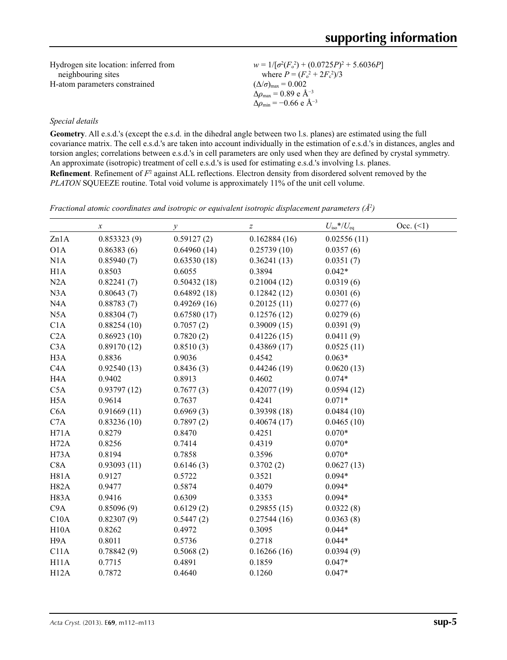Hydrogen site location: inferred from neighbouring sites H-atom parameters constrained

 $w = 1/[\sigma^2 (F_o^2) + (0.0725P)^2 + 5.6036P]$ where  $P = (F_o^2 + 2F_c^2)/3$  $(\Delta/\sigma)_{\text{max}} = 0.002$  $\Delta\rho_{\text{max}} = 0.89$  e Å<sup>-3</sup>  $\Delta\rho_{\text{min}} = -0.66$  e Å<sup>-3</sup>

#### *Special details*

**Geometry**. All e.s.d.'s (except the e.s.d. in the dihedral angle between two l.s. planes) are estimated using the full covariance matrix. The cell e.s.d.'s are taken into account individually in the estimation of e.s.d.'s in distances, angles and torsion angles; correlations between e.s.d.'s in cell parameters are only used when they are defined by crystal symmetry. An approximate (isotropic) treatment of cell e.s.d.'s is used for estimating e.s.d.'s involving l.s. planes. **Refinement**. Refinement of  $F^2$  against ALL reflections. Electron density from disordered solvent removed by the *PLATON* SQUEEZE routine. Total void volume is approximately 11% of the unit cell volume.

*Fractional atomic coordinates and isotropic or equivalent isotropic displacement parameters (Å<sup>2</sup>)* 

|                  | $\boldsymbol{\chi}$ | у           | $\boldsymbol{Z}$ | $U_{\rm iso}*/U_{\rm eq}$ | Occ. (2) |
|------------------|---------------------|-------------|------------------|---------------------------|----------|
| Zn1A             | 0.853323(9)         | 0.59127(2)  | 0.162884(16)     | 0.02556(11)               |          |
| O1A              | 0.86383(6)          | 0.64960(14) | 0.25739(10)      | 0.0357(6)                 |          |
| N1A              | 0.85940(7)          | 0.63530(18) | 0.36241(13)      | 0.0351(7)                 |          |
| H1A              | 0.8503              | 0.6055      | 0.3894           | $0.042*$                  |          |
| N2A              | 0.82241(7)          | 0.50432(18) | 0.21004(12)      | 0.0319(6)                 |          |
| N3A              | 0.80643(7)          | 0.64892(18) | 0.12842(12)      | 0.0301(6)                 |          |
| N <sub>4</sub> A | 0.88783(7)          | 0.49269(16) | 0.20125(11)      | 0.0277(6)                 |          |
| N5A              | 0.88304(7)          | 0.67580(17) | 0.12576(12)      | 0.0279(6)                 |          |
| C1A              | 0.88254(10)         | 0.7057(2)   | 0.39009(15)      | 0.0391(9)                 |          |
| C2A              | 0.86923(10)         | 0.7820(2)   | 0.41226(15)      | 0.0411(9)                 |          |
| C3A              | 0.89170(12)         | 0.8510(3)   | 0.43869(17)      | 0.0525(11)                |          |
| H <sub>3</sub> A | 0.8836              | 0.9036      | 0.4542           | $0.063*$                  |          |
| C4A              | 0.92540(13)         | 0.8436(3)   | 0.44246(19)      | 0.0620(13)                |          |
| H <sub>4</sub> A | 0.9402              | 0.8913      | 0.4602           | $0.074*$                  |          |
| C5A              | 0.93797(12)         | 0.7677(3)   | 0.42077(19)      | 0.0594(12)                |          |
| H <sub>5</sub> A | 0.9614              | 0.7637      | 0.4241           | $0.071*$                  |          |
| C6A              | 0.91669(11)         | 0.6969(3)   | 0.39398(18)      | 0.0484(10)                |          |
| C7A              | 0.83236(10)         | 0.7897(2)   | 0.40674(17)      | 0.0465(10)                |          |
| H71A             | 0.8279              | 0.8470      | 0.4251           | $0.070*$                  |          |
| H72A             | 0.8256              | 0.7414      | 0.4319           | $0.070*$                  |          |
| H73A             | 0.8194              | 0.7858      | 0.3596           | $0.070*$                  |          |
| C8A              | 0.93093(11)         | 0.6146(3)   | 0.3702(2)        | 0.0627(13)                |          |
| H81A             | 0.9127              | 0.5722      | 0.3521           | $0.094*$                  |          |
| H82A             | 0.9477              | 0.5874      | 0.4079           | $0.094*$                  |          |
| H83A             | 0.9416              | 0.6309      | 0.3353           | $0.094*$                  |          |
| C9A              | 0.85096(9)          | 0.6129(2)   | 0.29855(15)      | 0.0322(8)                 |          |
| C10A             | 0.82307(9)          | 0.5447(2)   | 0.27544(16)      | 0.0363(8)                 |          |
| H10A             | 0.8262              | 0.4972      | 0.3095           | $0.044*$                  |          |
| H9A              | 0.8011              | 0.5736      | 0.2718           | $0.044*$                  |          |
| C11A             | 0.78842(9)          | 0.5068(2)   | 0.16266(16)      | 0.0394(9)                 |          |
| H11A             | 0.7715              | 0.4891      | 0.1859           | $0.047*$                  |          |
| H12A             | 0.7872              | 0.4640      | 0.1260           | $0.047*$                  |          |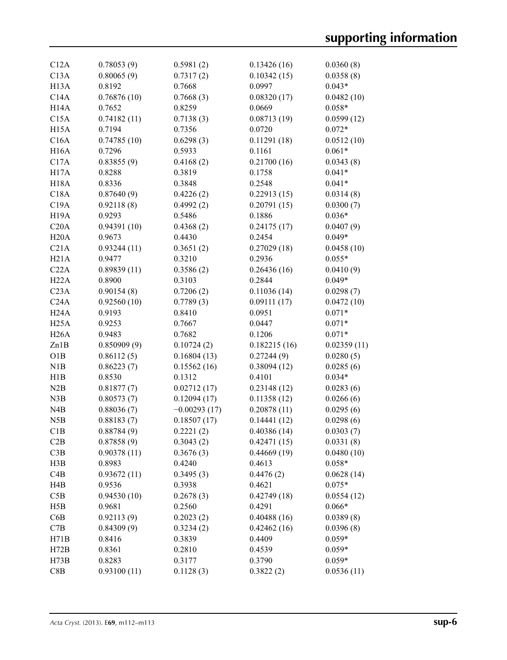| C12A              | 0.78053(9)  | 0.5981(2)           | 0.13426(16)           | 0.0360(8)              |
|-------------------|-------------|---------------------|-----------------------|------------------------|
| C13A              | 0.80065(9)  | 0.7317(2)           | 0.10342(15)           | 0.0358(8)              |
| H <sub>13</sub> A | 0.8192      | 0.7668              | 0.0997                | $0.043*$               |
| C14A              | 0.76876(10) | 0.7668(3)           | 0.08320(17)           | 0.0482(10)             |
| H <sub>14</sub> A | 0.7652      | 0.8259              | 0.0669                | $0.058*$               |
| C15A              | 0.74182(11) | 0.7138(3)           | 0.08713(19)           | 0.0599(12)             |
| H <sub>15</sub> A | 0.7194      | 0.7356              | 0.0720                | $0.072*$               |
| C16A              | 0.74785(10) | 0.6298(3)           | 0.11291(18)           | 0.0512(10)             |
| <b>H16A</b>       | 0.7296      | 0.5933              | 0.1161                | $0.061*$               |
| C17A              | 0.83855(9)  | 0.4168(2)           | 0.21700(16)           | 0.0343(8)              |
| H <sub>17</sub> A | 0.8288      | 0.3819              | 0.1758                | $0.041*$               |
| <b>H18A</b>       | 0.8336      | 0.3848              | 0.2548                | $0.041*$               |
| C18A              | 0.87640(9)  | 0.4226(2)           | 0.22913(15)           | 0.0314(8)              |
| C19A              | 0.92118(8)  | 0.4992(2)           | 0.20791(15)           | 0.0300(7)              |
| <b>H19A</b>       | 0.9293      | 0.5486              | 0.1886                | $0.036*$               |
| C20A              | 0.94391(10) | 0.4368(2)           | 0.24175(17)           | 0.0407(9)              |
| H20A              | 0.9673      | 0.4430              | 0.2454                | $0.049*$               |
| C21A              | 0.93244(11) |                     |                       |                        |
|                   | 0.9477      | 0.3651(2)<br>0.3210 | 0.27029(18)<br>0.2936 | 0.0458(10)<br>$0.055*$ |
| H21A              |             |                     |                       |                        |
| C22A              | 0.89839(11) | 0.3586(2)           | 0.26436(16)           | 0.0410(9)              |
| H22A              | 0.8900      | 0.3103              | 0.2844                | $0.049*$               |
| C <sub>23A</sub>  | 0.90154(8)  | 0.7206(2)           | 0.11036(14)           | 0.0298(7)              |
| C24A              | 0.92560(10) | 0.7789(3)           | 0.09111(17)           | 0.0472(10)             |
| H <sub>24</sub> A | 0.9193      | 0.8410              | 0.0951                | $0.071*$               |
| H25A              | 0.9253      | 0.7667              | 0.0447                | $0.071*$               |
| H26A              | 0.9483      | 0.7682              | 0.1206                | $0.071*$               |
| Zn1B              | 0.850909(9) | 0.10724(2)          | 0.182215(16)          | 0.02359(11)            |
| O1B               | 0.86112(5)  | 0.16804(13)         | 0.27244(9)            | 0.0280(5)              |
| N1B               | 0.86223(7)  | 0.15562(16)         | 0.38094(12)           | 0.0285(6)              |
| H1B               | 0.8530      | 0.1312              | 0.4101                | $0.034*$               |
| N2B               | 0.81877(7)  | 0.02712(17)         | 0.23148(12)           | 0.0283(6)              |
| N3B               | 0.80573(7)  | 0.12094(17)         | 0.11358(12)           | 0.0266(6)              |
| N4B               | 0.88036(7)  | $-0.00293(17)$      | 0.20878(11)           | 0.0295(6)              |
| N5B               | 0.88183(7)  | 0.18507(17)         | 0.14441(12)           | 0.0298(6)              |
| C1B               | 0.88784(9)  | 0.2221(2)           | 0.40386(14)           | 0.0303(7)              |
| C2B               | 0.87858(9)  | 0.3043(2)           | 0.42471(15)           | 0.0331(8)              |
| C3B               | 0.90378(11) | 0.3676(3)           | 0.44669(19)           | 0.0480(10)             |
| H3B               | 0.8983      | 0.4240              | 0.4613                | $0.058*$               |
| C4B               | 0.93672(11) | 0.3495(3)           | 0.4476(2)             | 0.0628(14)             |
| H4B               | 0.9536      | 0.3938              | 0.4621                | $0.075*$               |
| C5B               | 0.94530(10) | 0.2678(3)           | 0.42749(18)           | 0.0554(12)             |
| H5B               | 0.9681      | 0.2560              | 0.4291                | $0.066*$               |
| C6B               | 0.92113(9)  | 0.2023(2)           | 0.40488(16)           | 0.0389(8)              |
| C7B               | 0.84309(9)  | 0.3234(2)           | 0.42462(16)           | 0.0396(8)              |
| H71B              | 0.8416      | 0.3839              | 0.4409                | $0.059*$               |
| H72B              | 0.8361      | 0.2810              | 0.4539                | $0.059*$               |
| H73B              | 0.8283      | 0.3177              | 0.3790                | $0.059*$               |
| C8B               | 0.93100(11) | 0.1128(3)           | 0.3822(2)             | 0.0536(11)             |
|                   |             |                     |                       |                        |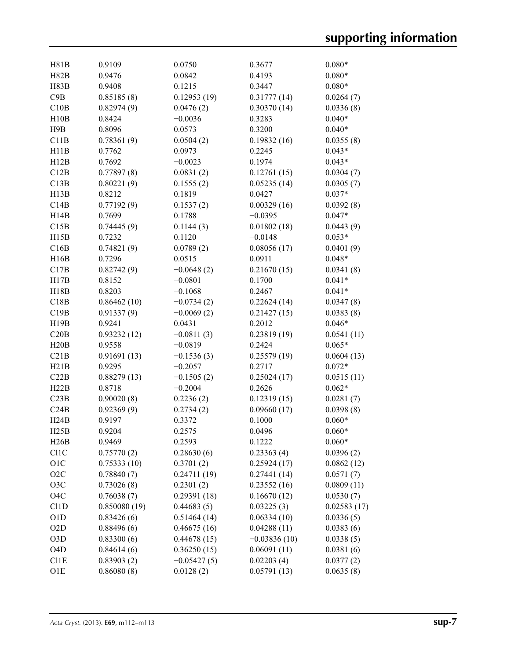| H81B                        | 0.9109       | 0.0750        | 0.3677         | $0.080*$    |
|-----------------------------|--------------|---------------|----------------|-------------|
| H82B                        | 0.9476       | 0.0842        | 0.4193         | $0.080*$    |
| H83B                        | 0.9408       | 0.1215        | 0.3447         | $0.080*$    |
| C9B                         | 0.85185(8)   | 0.12953(19)   | 0.31777(14)    | 0.0264(7)   |
| C10B                        | 0.82974(9)   | 0.0476(2)     | 0.30370(14)    | 0.0336(8)   |
| H10B                        | 0.8424       | $-0.0036$     | 0.3283         | $0.040*$    |
| H9B                         | 0.8096       | 0.0573        | 0.3200         | $0.040*$    |
| C11B                        | 0.78361(9)   | 0.0504(2)     | 0.19832(16)    | 0.0355(8)   |
| H11B                        | 0.7762       | 0.0973        | 0.2245         | $0.043*$    |
| H12B                        | 0.7692       | $-0.0023$     | 0.1974         | $0.043*$    |
| C12B                        | 0.77897(8)   | 0.0831(2)     | 0.12761(15)    | 0.0304(7)   |
| C13B                        | 0.80221(9)   | 0.1555(2)     | 0.05235(14)    | 0.0305(7)   |
| H13B                        | 0.8212       | 0.1819        | 0.0427         | $0.037*$    |
| C14B                        | 0.77192(9)   | 0.1537(2)     | 0.00329(16)    | 0.0392(8)   |
| H14B                        | 0.7699       | 0.1788        | $-0.0395$      | $0.047*$    |
| C15B                        | 0.74445(9)   | 0.1144(3)     | 0.01802(18)    | 0.0443(9)   |
| H15B                        | 0.7232       | 0.1120        | $-0.0148$      | $0.053*$    |
| C16B                        | 0.74821(9)   | 0.0789(2)     | 0.08056(17)    | 0.0401(9)   |
| H16B                        | 0.7296       | 0.0515        | 0.0911         | $0.048*$    |
| C17B                        | 0.82742(9)   | $-0.0648(2)$  | 0.21670(15)    | 0.0341(8)   |
| H17B                        | 0.8152       | $-0.0801$     | 0.1700         | $0.041*$    |
| H18B                        | 0.8203       | $-0.1068$     | 0.2467         | $0.041*$    |
| C18B                        | 0.86462(10)  | $-0.0734(2)$  | 0.22624(14)    | 0.0347(8)   |
| C19B                        | 0.91337(9)   | $-0.0069(2)$  | 0.21427(15)    | 0.0383(8)   |
| H19B                        | 0.9241       | 0.0431        | 0.2012         | $0.046*$    |
| C20B                        | 0.93232(12)  | $-0.0811(3)$  | 0.23819(19)    | 0.0541(11)  |
| H20B                        | 0.9558       | $-0.0819$     | 0.2424         | $0.065*$    |
| C21B                        | 0.91691(13)  | $-0.1536(3)$  | 0.25579(19)    | 0.0604(13)  |
| H21B                        | 0.9295       | $-0.2057$     | 0.2717         | $0.072*$    |
| C22B                        | 0.88279(13)  | $-0.1505(2)$  | 0.25024(17)    | 0.0515(11)  |
| H22B                        | 0.8718       | $-0.2004$     | 0.2626         | $0.062*$    |
| C23B                        | 0.90020(8)   | 0.2236(2)     | 0.12319(15)    | 0.0281(7)   |
| C24B                        | 0.92369(9)   | 0.2734(2)     | 0.09660(17)    | 0.0398(8)   |
| H24B                        | 0.9197       | 0.3372        | 0.1000         | $0.060*$    |
| H25B                        | 0.9204       | 0.2575        | 0.0496         | $0.060*$    |
| H26B                        | 0.9469       | 0.2593        | 0.1222         | $0.060*$    |
| C11C                        | 0.75770(2)   | 0.28630(6)    | 0.23363(4)     | 0.0396(2)   |
| O1C                         | 0.75333(10)  | 0.3701(2)     | 0.25924(17)    | 0.0862(12)  |
| O <sub>2</sub> C            | 0.78840(7)   | 0.24711(19)   | 0.27441(14)    | 0.0571(7)   |
| O3C                         | 0.73026(8)   | 0.2301(2)     | 0.23552(16)    | 0.0809(11)  |
| O <sub>4</sub> C            | 0.76038(7)   | 0.29391(18)   | 0.16670(12)    | 0.0530(7)   |
| C <sub>1</sub> 1D           | 0.850080(19) | 0.44683(5)    | 0.03225(3)     | 0.02583(17) |
| O1D                         | 0.83426(6)   | 0.51464(14)   | 0.06334(10)    | 0.0336(5)   |
| O2D                         | 0.88496(6)   | 0.46675(16)   | 0.04288(11)    | 0.0383(6)   |
| O3D                         | 0.83300(6)   | 0.44678(15)   | $-0.03836(10)$ | 0.0338(5)   |
| O <sub>4</sub> D            | 0.84614(6)   | 0.36250(15)   | 0.06091(11)    | 0.0381(6)   |
| C <sub>1</sub> <sub>E</sub> | 0.83903(2)   | $-0.05427(5)$ | 0.02203(4)     | 0.0377(2)   |
| O <sub>1</sub> E            | 0.86080(8)   | 0.0128(2)     | 0.05791(13)    | 0.0635(8)   |
|                             |              |               |                |             |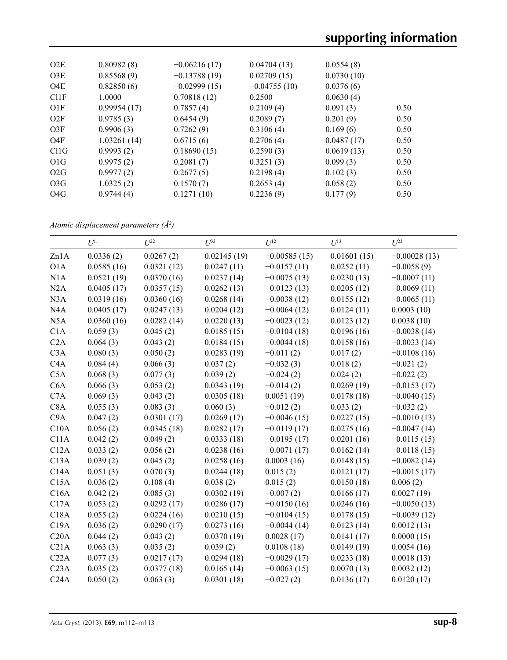| O2E               | 0.80982(8)  | $-0.06216(17)$ | 0.04704(13)    | 0.0554(8)  |      |  |
|-------------------|-------------|----------------|----------------|------------|------|--|
| O3E               | 0.85568(9)  | $-0.13788(19)$ | 0.02709(15)    | 0.0730(10) |      |  |
| O <sub>4</sub> E  | 0.82850(6)  | $-0.02999(15)$ | $-0.04755(10)$ | 0.0376(6)  |      |  |
| Cl1F              | 1.0000      | 0.70818(12)    | 0.2500         | 0.0630(4)  |      |  |
| O1F               | 0.99954(17) | 0.7857(4)      | 0.2109(4)      | 0.091(3)   | 0.50 |  |
| O2F               | 0.9785(3)   | 0.6454(9)      | 0.2089(7)      | 0.201(9)   | 0.50 |  |
| O3F               | 0.9906(3)   | 0.7262(9)      | 0.3106(4)      | 0.169(6)   | 0.50 |  |
| O4F               | 1.03261(14) | 0.6715(6)      | 0.2706(4)      | 0.0487(17) | 0.50 |  |
| C <sub>11</sub> G | 0.9993(2)   | 0.18690(15)    | 0.2590(3)      | 0.0619(13) | 0.50 |  |
| O1G               | 0.9975(2)   | 0.2081(7)      | 0.3251(3)      | 0.099(3)   | 0.50 |  |
| O2G               | 0.9977(2)   | 0.2677(5)      | 0.2198(4)      | 0.102(3)   | 0.50 |  |
| O3G               | 1.0325(2)   | 0.1570(7)      | 0.2653(4)      | 0.058(2)   | 0.50 |  |
| O <sub>4</sub> G  | 0.9744(4)   | 0.1271(10)     | 0.2236(9)      | 0.177(9)   | 0.50 |  |
|                   |             |                |                |            |      |  |

*Atomic displacement parameters (Å2 )*

|                  | $U^{11}$   | $U^{22}$   | $I^{\beta 3}$ | $U^{12}$       | $U^{13}$    | $U^{23}$       |
|------------------|------------|------------|---------------|----------------|-------------|----------------|
| Zn1A             | 0.0336(2)  | 0.0267(2)  | 0.02145(19)   | $-0.00585(15)$ | 0.01601(15) | $-0.00028(13)$ |
| O1A              | 0.0585(16) | 0.0321(12) | 0.0247(11)    | $-0.0157(11)$  | 0.0252(11)  | $-0.0058(9)$   |
| N1A              | 0.0521(19) | 0.0370(16) | 0.0237(14)    | $-0.0075(13)$  | 0.0230(13)  | $-0.0007(11)$  |
| N2A              | 0.0405(17) | 0.0357(15) | 0.0262(13)    | $-0.0123(13)$  | 0.0205(12)  | $-0.0069(11)$  |
| N3A              | 0.0319(16) | 0.0360(16) | 0.0268(14)    | $-0.0038(12)$  | 0.0155(12)  | $-0.0065(11)$  |
| N <sub>4</sub> A | 0.0405(17) | 0.0247(13) | 0.0204(12)    | $-0.0064(12)$  | 0.0124(11)  | 0.0003(10)     |
| N5A              | 0.0360(16) | 0.0282(14) | 0.0220(13)    | $-0.0023(12)$  | 0.0123(12)  | 0.0038(10)     |
| C1A              | 0.059(3)   | 0.045(2)   | 0.0185(15)    | $-0.0104(18)$  | 0.0196(16)  | $-0.0038(14)$  |
| C2A              | 0.064(3)   | 0.043(2)   | 0.0184(15)    | $-0.0044(18)$  | 0.0158(16)  | $-0.0033(14)$  |
| C <sub>3</sub> A | 0.080(3)   | 0.050(2)   | 0.0283(19)    | $-0.011(2)$    | 0.017(2)    | $-0.0108(16)$  |
| C4A              | 0.084(4)   | 0.066(3)   | 0.037(2)      | $-0.032(3)$    | 0.018(2)    | $-0.021(2)$    |
| C5A              | 0.068(3)   | 0.077(3)   | 0.039(2)      | $-0.024(2)$    | 0.024(2)    | $-0.022(2)$    |
| C6A              | 0.066(3)   | 0.053(2)   | 0.0343(19)    | $-0.014(2)$    | 0.0269(19)  | $-0.0153(17)$  |
| C7A              | 0.069(3)   | 0.043(2)   | 0.0305(18)    | 0.0051(19)     | 0.0178(18)  | $-0.0040(15)$  |
| C8A              | 0.055(3)   | 0.083(3)   | 0.060(3)      | $-0.012(2)$    | 0.033(2)    | $-0.032(2)$    |
| C <sub>9</sub> A | 0.047(2)   | 0.0301(17) | 0.0269(17)    | $-0.0046(15)$  | 0.0227(15)  | $-0.0010(13)$  |
| C10A             | 0.056(2)   | 0.0345(18) | 0.0282(17)    | $-0.0119(17)$  | 0.0275(16)  | $-0.0047(14)$  |
| C11A             | 0.042(2)   | 0.049(2)   | 0.0333(18)    | $-0.0195(17)$  | 0.0201(16)  | $-0.0115(15)$  |
| C12A             | 0.033(2)   | 0.056(2)   | 0.0238(16)    | $-0.0071(17)$  | 0.0162(14)  | $-0.0118(15)$  |
| C13A             | 0.039(2)   | 0.045(2)   | 0.0258(16)    | 0.0003(16)     | 0.0148(15)  | $-0.0082(14)$  |
| C14A             | 0.051(3)   | 0.070(3)   | 0.0244(18)    | 0.015(2)       | 0.0121(17)  | $-0.0015(17)$  |
| C15A             | 0.036(2)   | 0.108(4)   | 0.038(2)      | 0.015(2)       | 0.0150(18)  | 0.006(2)       |
| C16A             | 0.042(2)   | 0.085(3)   | 0.0302(19)    | $-0.007(2)$    | 0.0166(17)  | 0.0027(19)     |
| C17A             | 0.053(2)   | 0.0292(17) | 0.0286(17)    | $-0.0150(16)$  | 0.0246(16)  | $-0.0050(13)$  |
| C18A             | 0.055(2)   | 0.0224(16) | 0.0210(15)    | $-0.0104(15)$  | 0.0178(15)  | $-0.0039(12)$  |
| C19A             | 0.036(2)   | 0.0290(17) | 0.0273(16)    | $-0.0044(14)$  | 0.0123(14)  | 0.0012(13)     |
| C20A             | 0.044(2)   | 0.043(2)   | 0.0370(19)    | 0.0028(17)     | 0.0141(17)  | 0.0000(15)     |
| C21A             | 0.063(3)   | 0.035(2)   | 0.039(2)      | 0.0108(18)     | 0.0149(19)  | 0.0054(16)     |
| C22A             | 0.077(3)   | 0.0217(17) | 0.0294(18)    | $-0.0029(17)$  | 0.0233(18)  | 0.0018(13)     |
| C <sub>23A</sub> | 0.035(2)   | 0.0377(18) | 0.0165(14)    | $-0.0063(15)$  | 0.0070(13)  | 0.0032(12)     |
| C24A             | 0.050(2)   | 0.063(3)   | 0.0301(18)    | $-0.027(2)$    | 0.0136(17)  | 0.0120(17)     |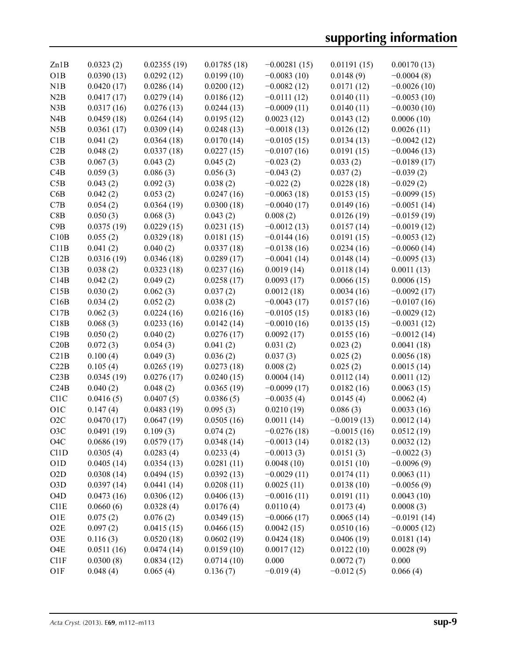| Zn1B              | 0.0323(2)  | 0.02355(19) | 0.01785(18) | $-0.00281(15)$ | 0.01191(15)   | 0.00170(13)   |
|-------------------|------------|-------------|-------------|----------------|---------------|---------------|
| O1B               | 0.0390(13) | 0.0292(12)  | 0.0199(10)  | $-0.0083(10)$  | 0.0148(9)     | $-0.0004(8)$  |
| N1B               | 0.0420(17) | 0.0286(14)  | 0.0200(12)  | $-0.0082(12)$  | 0.0171(12)    | $-0.0026(10)$ |
| N2B               | 0.0417(17) | 0.0279(14)  | 0.0186(12)  | $-0.0111(12)$  | 0.0140(11)    | $-0.0053(10)$ |
| N3B               | 0.0317(16) | 0.0276(13)  | 0.0244(13)  | $-0.0009(11)$  | 0.0140(11)    | $-0.0030(10)$ |
| N4B               | 0.0459(18) | 0.0264(14)  | 0.0195(12)  | 0.0023(12)     | 0.0143(12)    | 0.0006(10)    |
| N5B               | 0.0361(17) | 0.0309(14)  | 0.0248(13)  | $-0.0018(13)$  | 0.0126(12)    | 0.0026(11)    |
| C1B               | 0.041(2)   | 0.0364(18)  | 0.0170(14)  | $-0.0105(15)$  | 0.0134(13)    | $-0.0042(12)$ |
| C2B               | 0.048(2)   | 0.0337(18)  | 0.0227(15)  | $-0.0107(16)$  | 0.0191(15)    | $-0.0046(13)$ |
| C3B               | 0.067(3)   | 0.043(2)    | 0.045(2)    | $-0.023(2)$    | 0.033(2)      | $-0.0189(17)$ |
| C4B               | 0.059(3)   | 0.086(3)    | 0.056(3)    | $-0.043(2)$    | 0.037(2)      | $-0.039(2)$   |
| C5B               | 0.043(2)   | 0.092(3)    | 0.038(2)    | $-0.022(2)$    | 0.0228(18)    | $-0.029(2)$   |
| C6B               | 0.042(2)   | 0.053(2)    | 0.0247(16)  | $-0.0063(18)$  | 0.0153(15)    | $-0.0099(15)$ |
| C7B               | 0.054(2)   | 0.0364(19)  | 0.0300(18)  | $-0.0040(17)$  | 0.0149(16)    | $-0.0051(14)$ |
| C8B               | 0.050(3)   | 0.068(3)    | 0.043(2)    | 0.008(2)       | 0.0126(19)    | $-0.0159(19)$ |
| C9B               | 0.0375(19) | 0.0229(15)  | 0.0231(15)  | $-0.0012(13)$  | 0.0157(14)    | $-0.0019(12)$ |
| C10B              | 0.055(2)   | 0.0329(18)  | 0.0181(15)  | $-0.0144(16)$  | 0.0191(15)    | $-0.0053(12)$ |
| C11B              | 0.041(2)   | 0.040(2)    | 0.0337(18)  | $-0.0138(16)$  | 0.0234(16)    | $-0.0060(14)$ |
| C12B              | 0.0316(19) | 0.0346(18)  | 0.0289(17)  | $-0.0041(14)$  | 0.0148(14)    | $-0.0095(13)$ |
| C13B              | 0.038(2)   | 0.0323(18)  | 0.0237(16)  | 0.0019(14)     | 0.0118(14)    | 0.0011(13)    |
| C14B              | 0.042(2)   | 0.049(2)    | 0.0258(17)  | 0.0093(17)     | 0.0066(15)    | 0.0006(15)    |
| C15B              | 0.030(2)   | 0.062(3)    | 0.037(2)    | 0.0012(18)     | 0.0034(16)    | $-0.0092(17)$ |
| C16B              | 0.034(2)   | 0.052(2)    | 0.038(2)    | $-0.0043(17)$  | 0.0157(16)    | $-0.0107(16)$ |
| C17B              | 0.062(3)   | 0.0224(16)  | 0.0216(16)  | $-0.0105(15)$  | 0.0183(16)    | $-0.0029(12)$ |
| C18B              | 0.068(3)   | 0.0233(16)  | 0.0142(14)  | $-0.0010(16)$  | 0.0135(15)    | $-0.0031(12)$ |
| C19B              | 0.050(2)   | 0.040(2)    | 0.0276(17)  | 0.0092(17)     | 0.0155(16)    | $-0.0012(14)$ |
| C20B              | 0.072(3)   | 0.054(3)    | 0.041(2)    | 0.031(2)       | 0.023(2)      | 0.0041(18)    |
| C21B              | 0.100(4)   | 0.049(3)    | 0.036(2)    | 0.037(3)       | 0.025(2)      | 0.0056(18)    |
| C22B              | 0.105(4)   | 0.0265(19)  | 0.0273(18)  | 0.008(2)       | 0.025(2)      | 0.0015(14)    |
| C23B              | 0.0345(19) | 0.0276(17)  | 0.0240(15)  | 0.0004(14)     | 0.0112(14)    | 0.0011(12)    |
| C24B              | 0.040(2)   | 0.048(2)    | 0.0365(19)  | $-0.0099(17)$  | 0.0182(16)    | 0.0063(15)    |
| C <sub>11</sub> C | 0.0416(5)  | 0.0407(5)   | 0.0386(5)   | $-0.0035(4)$   | 0.0145(4)     | 0.0062(4)     |
| O1C               | 0.147(4)   | 0.0483(19)  | 0.095(3)    | 0.0210(19)     | 0.086(3)      | 0.0033(16)    |
| O2C               | 0.0470(17) | 0.0647(19)  | 0.0505(16)  | 0.0011(14)     | $-0.0019(13)$ | 0.0012(14)    |
| O3C               | 0.0491(19) | 0.109(3)    | 0.074(2)    | $-0.0276(18)$  | $-0.0015(16)$ | 0.0512(19)    |
| O <sub>4</sub> C  | 0.0686(19) | 0.0579(17)  | 0.0348(14)  | $-0.0013(14)$  | 0.0182(13)    | 0.0032(12)    |
| C <sub>1</sub> 1D | 0.0305(4)  | 0.0283(4)   | 0.0233(4)   | $-0.0013(3)$   | 0.0151(3)     | $-0.0022(3)$  |
| O1D               | 0.0405(14) | 0.0354(13)  | 0.0281(11)  | 0.0048(10)     | 0.0151(10)    | $-0.0096(9)$  |
| O <sub>2</sub> D  | 0.0308(14) | 0.0494(15)  | 0.0392(13)  | $-0.0029(11)$  | 0.0174(11)    | 0.0063(11)    |
| O <sub>3</sub> D  | 0.0397(14) | 0.0441(14)  | 0.0208(11)  | 0.0025(11)     | 0.0138(10)    | $-0.0056(9)$  |
| O <sub>4</sub> D  | 0.0473(16) | 0.0306(12)  | 0.0406(13)  | $-0.0016(11)$  | 0.0191(11)    | 0.0043(10)    |
| C11E              | 0.0660(6)  | 0.0328(4)   | 0.0176(4)   | 0.0110(4)      | 0.0173(4)     | 0.0008(3)     |
| O1E               | 0.075(2)   | 0.076(2)    | 0.0349(15)  | $-0.0066(17)$  | 0.0065(14)    | $-0.0191(14)$ |
| O2E               | 0.097(2)   | 0.0415(15)  | 0.0466(15)  | 0.0042(15)     | 0.0510(16)    | $-0.0005(12)$ |
| O3E               | 0.116(3)   | 0.0520(18)  | 0.0602(19)  | 0.0424(18)     | 0.0406(19)    | 0.0181(14)    |
| O <sub>4</sub> E  | 0.0511(16) | 0.0474(14)  | 0.0159(10)  | 0.0017(12)     | 0.0122(10)    | 0.0028(9)     |
| C11F              | 0.0300(8)  | 0.0834(12)  | 0.0714(10)  | 0.000          | 0.0072(7)     | 0.000         |
| O1F               | 0.048(4)   | 0.065(4)    | 0.136(7)    | $-0.019(4)$    | $-0.012(5)$   | 0.066(4)      |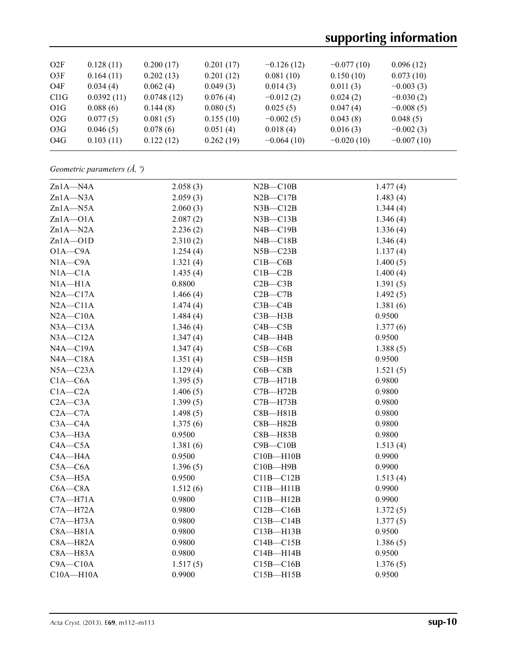# **supporting information**

| O2F               | 0.128(11)  | 0.200(17)  | 0.201(17) | $-0.126(12)$ | $-0.077(10)$ | 0.096(12)    |
|-------------------|------------|------------|-----------|--------------|--------------|--------------|
| O3F               | 0.164(11)  | 0.202(13)  | 0.201(12) | 0.081(10)    | 0.150(10)    | 0.073(10)    |
| O <sub>4</sub> F  | 0.034(4)   | 0.062(4)   | 0.049(3)  | 0.014(3)     | 0.011(3)     | $-0.003(3)$  |
| C <sub>11</sub> G | 0.0392(11) | 0.0748(12) | 0.076(4)  | $-0.012(2)$  | 0.024(2)     | $-0.030(2)$  |
| O <sub>1</sub> G  | 0.088(6)   | 0.144(8)   | 0.080(5)  | 0.025(5)     | 0.047(4)     | $-0.008(5)$  |
| O2G               | 0.077(5)   | 0.081(5)   | 0.155(10) | $-0.002(5)$  | 0.043(8)     | 0.048(5)     |
| O <sub>3</sub> G  | 0.046(5)   | 0.078(6)   | 0.051(4)  | 0.018(4)     | 0.016(3)     | $-0.002(3)$  |
| O4G               | 0.103(11)  | 0.122(12)  | 0.262(19) | $-0.064(10)$ | $-0.020(10)$ | $-0.007(10)$ |
|                   |            |            |           |              |              |              |

*Geometric parameters (Å, º)*

| Zn1A-N4A      | 2.058(3) | $N2B - C10B$  | 1.477(4) |
|---------------|----------|---------------|----------|
| $Zn1A - N3A$  | 2.059(3) | $N2B - C17B$  | 1.483(4) |
| $Zn1A - N5A$  | 2.060(3) | $N3B - C12B$  | 1.344(4) |
| $Zn1A - O1A$  | 2.087(2) | $N3B - C13B$  | 1.346(4) |
| $Zn1A - N2A$  | 2.236(2) | $N4B - C19B$  | 1.336(4) |
| $Zn1A - O1D$  | 2.310(2) | $N4B - C18B$  | 1.346(4) |
| $O1A - C9A$   | 1.254(4) | $N5B - C23B$  | 1.137(4) |
| $N1A - C9A$   | 1.321(4) | $C1B - C6B$   | 1.400(5) |
| $N1A - C1A$   | 1.435(4) | $C1B - C2B$   | 1.400(4) |
| $N1A - H1A$   | 0.8800   | $C2B - C3B$   | 1.391(5) |
| $N2A - C17A$  | 1.466(4) | $C2B - C7B$   | 1.492(5) |
| $N2A - C11A$  | 1.474(4) | $C3B - C4B$   | 1.381(6) |
| $N2A - C10A$  | 1.484(4) | $C3B - H3B$   | 0.9500   |
| $N3A - C13A$  | 1.346(4) | $C4B - C5B$   | 1.377(6) |
| $N3A - C12A$  | 1.347(4) | $C4B - H4B$   | 0.9500   |
| $NA$ -C19A    | 1.347(4) | $C5B - C6B$   | 1.388(5) |
| NA—C18A       | 1.351(4) | $C5B - H5B$   | 0.9500   |
| $N5A - C23A$  | 1.129(4) | $C6B - C8B$   | 1.521(5) |
| $C1A - C6A$   | 1.395(5) | $C7B - H71B$  | 0.9800   |
| $C1A - C2A$   | 1.406(5) | $C7B - H72B$  | 0.9800   |
| $C2A - C3A$   | 1.399(5) | $C7B - H73B$  | 0.9800   |
| $C2A - C7A$   | 1.498(5) | $C8B - H81B$  | 0.9800   |
| $C3A - C4A$   | 1.375(6) | $C8B - H82B$  | 0.9800   |
| $C3A - H3A$   | 0.9500   | $C8B - H83B$  | 0.9800   |
| $C4A - C5A$   | 1.381(6) | $C9B - C10B$  | 1.513(4) |
| $C4A - H4A$   | 0.9500   | $C10B - H10B$ | 0.9900   |
| $C5A - C6A$   | 1.396(5) | $C10B - H9B$  | 0.9900   |
| $C5A - H5A$   | 0.9500   | $C11B - C12B$ | 1.513(4) |
| $C6A - C8A$   | 1.512(6) | $C11B - H11B$ | 0.9900   |
| $C7A - H71A$  | 0.9800   | $C11B - H12B$ | 0.9900   |
| $C7A - H72A$  | 0.9800   | $C12B - C16B$ | 1.372(5) |
| $C7A - H73A$  | 0.9800   | $C13B - C14B$ | 1.377(5) |
| $C8A - H81A$  | 0.9800   | $C13B - H13B$ | 0.9500   |
| $C8A - H82A$  | 0.9800   | $C14B - C15B$ | 1.386(5) |
| $C8A - H83A$  | 0.9800   | $C14B - H14B$ | 0.9500   |
| $C9A - C10A$  | 1.517(5) | $C15B - C16B$ | 1.376(5) |
| $C10A - H10A$ | 0.9900   | $C15B - H15B$ | 0.9500   |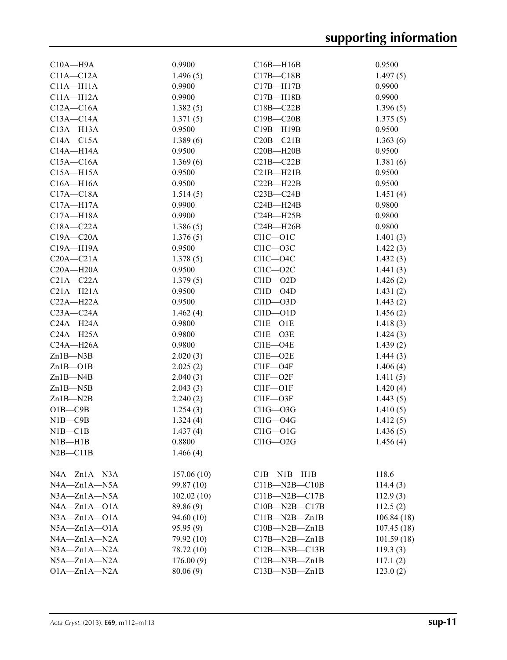| $C10A - H9A$                   | 0.9900     | $C16B - H16B$       | 0.9500               |
|--------------------------------|------------|---------------------|----------------------|
| $C11A - C12A$                  | 1.496(5)   | $C17B - C18B$       | 1.497(5)             |
| $C11A - H11A$                  | 0.9900     | $C17B - H17B$       | 0.9900               |
| $C11A - H12A$                  | 0.9900     | $C17B - H18B$       | 0.9900               |
| $C12A - C16A$                  | 1.382(5)   | $C18B - C22B$       | 1.396(5)             |
| $C13A - C14A$                  | 1.371(5)   | $C19B - C20B$       | 1.375(5)             |
| $C13A - H13A$                  | 0.9500     | $C19B - H19B$       | 0.9500               |
| $C14A - C15A$                  | 1.389(6)   | $C20B - C21B$       | 1.363(6)             |
| $C14A - H14A$                  | 0.9500     | $C20B - H20B$       | 0.9500               |
| $C15A - C16A$                  | 1.369(6)   | $C21B - C22B$       | 1.381(6)             |
| $C15A - H15A$                  | 0.9500     | $C21B - H21B$       | 0.9500               |
| $C16A - H16A$                  | 0.9500     | $C22B - H22B$       | 0.9500               |
| $C17A - C18A$                  | 1.514(5)   | $C23B - C24B$       | 1.451(4)             |
| $C17A - H17A$                  | 0.9900     | $C24B - H24B$       | 0.9800               |
| $C17A - H18A$                  | 0.9900     | $C24B - H25B$       | 0.9800               |
| $C18A - C22A$                  | 1.386(5)   | $C24B - H26B$       | 0.9800               |
| $C19A - C20A$                  | 1.376(5)   | $C11C - O1C$        | 1.401(3)             |
| C19A-H19A                      | 0.9500     | $C11C - 03C$        | 1.422(3)             |
| $C20A - C21A$                  | 1.378(5)   | $ClIC$ $ O4C$       | 1.432(3)             |
| $C20A - H20A$                  | 0.9500     | $C11C - 02C$        |                      |
| $C21A - C22A$                  | 1.379(5)   | $C11D - O2D$        | 1.441(3)             |
| $C21A - H21A$                  | 0.9500     | $C11D - O4D$        | 1.426(2)<br>1.431(2) |
| $C22A - H22A$                  | 0.9500     | $C11D-O3D$          |                      |
| $C23A - C24A$                  |            |                     | 1.443(2)             |
|                                | 1.462(4)   | $C11D-O1D$          | 1.456(2)             |
| $C24A - H24A$<br>$C24A - H25A$ | 0.9800     | $C11E-O1E$          | 1.418(3)             |
|                                | 0.9800     | $C11E-O3E$          | 1.424(3)             |
| $C24A - H26A$                  | 0.9800     | $C11E-O4E$          | 1.439(2)             |
| $Zn1B-M3B$                     | 2.020(3)   | $C11E-O2E$          | 1.444(3)             |
| $Zn1B - O1B$                   | 2.025(2)   | $C11F - O4F$        | 1.406(4)             |
| $Zn1B$ —N4B                    | 2.040(3)   | $C11F - O2F$        | 1.411(5)             |
| $Zn1B-M5B$                     | 2.043(3)   | $C11F - O1F$        | 1.420(4)             |
| $Zn1B - N2B$                   | 2.240(2)   | $C11F - O3F$        | 1.443(5)             |
| $O1B$ — $C9B$                  | 1.254(3)   | $Cl1G - O3G$        | 1.410(5)             |
| $N1B - C9B$                    | 1.324(4)   | $Cl1G - O4G$        | 1.412(5)             |
| NIB—C1B                        | 1.437(4)   | $ClIG-O1G$          | 1.436(5)             |
| $NIB-H1B$                      | 0.8800     | $Cl1G - O2G$        | 1.456(4)             |
| $N2B - C11B$                   | 1.466(4)   |                     |                      |
| $NAA - Zn1A - N3A$             | 157.06(10) | $C1B-M1B-H1B$       | 118.6                |
| $NAA - Zn1A - N5A$             | 99.87 (10) | $C11B - N2B - C10B$ | 114.4(3)             |
| $N3A - Zn1A - N5A$             | 102.02(10) | $C11B - N2B - C17B$ | 112.9(3)             |
| $NAA - Zn1A - O1A$             | 89.86 (9)  | $C10B - N2B - C17B$ | 112.5(2)             |
| $N3A - Zn1A - O1A$             | 94.60 (10) | $C11B - N2B - Zn1B$ | 106.84(18)           |
| $N5A - Zn1A - O1A$             | 95.95(9)   | $C10B - N2B - Zn1B$ | 107.45(18)           |
| $N4A - Zn1A - N2A$             | 79.92 (10) | $C17B - N2B - Zn1B$ | 101.59(18)           |
| $N3A - Zn1A - N2A$             | 78.72 (10) | $C12B$ —N3B—C13B    | 119.3(3)             |
| $N5A - Zn1A - N2A$             | 176.00(9)  | $C12B - N3B - Zn1B$ | 117.1(2)             |
| $O1A - Zn1A - N2A$             | 80.06(9)   | $C13B - N3B - Zn1B$ | 123.0(2)             |
|                                |            |                     |                      |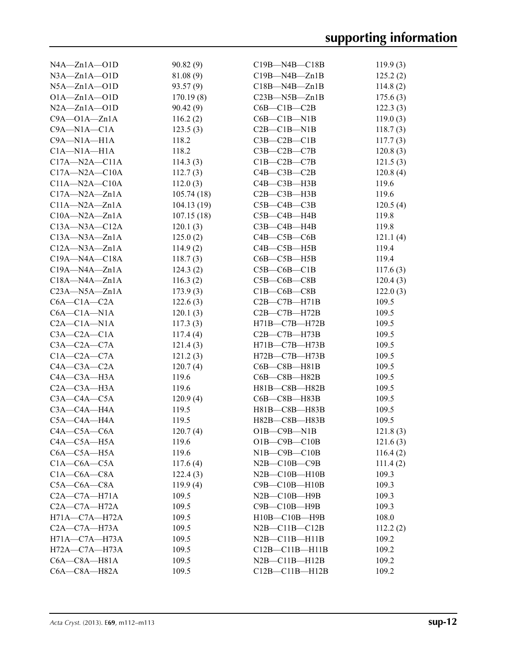| $NA \rightarrow Zn1A \rightarrow 01D$ | 90.82(9)   | $C19B - N4B - C18B$    | 119.9(3) |
|---------------------------------------|------------|------------------------|----------|
| $N3A - Zn1A - O1D$                    | 81.08(9)   | $C19B - N4B - Zn1B$    | 125.2(2) |
| $N5A - Zn1A - O1D$                    | 93.57(9)   | $C18B - N4B - Zn1B$    | 114.8(2) |
| $O1A - Zn1A - O1D$                    | 170.19(8)  | $C23B$ —N5B—Zn1B       | 175.6(3) |
| $N2A - Zn1A - O1D$                    | 90.42(9)   | $C6B - C1B - C2B$      | 122.3(3) |
| $C9A - O1A - Zn1A$                    | 116.2(2)   | $C6B - C1B - N1B$      | 119.0(3) |
| $C9A - N1A - C1A$                     | 123.5(3)   | $C2B - C1B - N1B$      | 118.7(3) |
| $C9A - N1A - H1A$                     | 118.2      | $C3B - C2B - C1B$      | 117.7(3) |
| $C1A - N1A - H1A$                     | 118.2      | $C3B-C2B-C7B$          | 120.8(3) |
| $C17A - N2A - C11A$                   | 114.3(3)   | $C1B-C2B-C7B$          | 121.5(3) |
| $C17A - N2A - C10A$                   | 112.7(3)   | $C4B - C3B - C2B$      | 120.8(4) |
| $C11A - N2A - C10A$                   | 112.0(3)   | $C4B - C3B - H3B$      | 119.6    |
| $C17A - N2A - Zn1A$                   | 105.74(18) | $C2B - C3B - H3B$      | 119.6    |
| $C11A - N2A - Zn1A$                   | 104.13(19) | $C5B - C4B - C3B$      | 120.5(4) |
| $C10A - N2A - Zn1A$                   | 107.15(18) | $C5B - C4B - H4B$      | 119.8    |
| $C13A - N3A - C12A$                   | 120.1(3)   | $C3B$ — $C4B$ —H4B     | 119.8    |
| $C13A - N3A - Zn1A$                   | 125.0(2)   | $C4B - C5B - C6B$      | 121.1(4) |
| $C12A - N3A - Zn1A$                   | 114.9(2)   | $C4B - C5B - H5B$      | 119.4    |
| $C19A - N4A - C18A$                   | 118.7(3)   | $C6B - C5B - H5B$      | 119.4    |
| $C19A - N4A - Zn1A$                   | 124.3(2)   | $C5B-C6B-C1B$          |          |
| $C18A - N4A - Zn1A$                   |            | $C5B-C6B-C8B$          | 117.6(3) |
|                                       | 116.3(2)   |                        | 120.4(3) |
| $C23A - N5A - Zn1A$                   | 173.9(3)   | $C1B-C6B-C8B$          | 122.0(3) |
| $C6A - C1A - C2A$                     | 122.6(3)   | $C2B - C7B - H71B$     | 109.5    |
| $C6A - C1A - N1A$                     | 120.1(3)   | $C2B - C7B - H72B$     | 109.5    |
| $C2A - C1A - N1A$                     | 117.3(3)   | H71B-C7B-H72B          | 109.5    |
| $C3A - C2A - C1A$                     | 117.4(4)   | $C2B$ — $C7B$ —H73B    | 109.5    |
| $C3A - C2A - C7A$                     | 121.4(3)   | $H71B - C7B - H73B$    | 109.5    |
| $C1A - C2A - C7A$                     | 121.2(3)   | H72B-C7B-H73B          | 109.5    |
| $C4A - C3A - C2A$                     | 120.7(4)   | $C6B - C8B - H81B$     | 109.5    |
| $C4A - C3A - H3A$                     | 119.6      | $C6B - C8B - H82B$     | 109.5    |
| $C2A - C3A - H3A$                     | 119.6      | H81B-C8B-H82B          | 109.5    |
| $C3A - C4A - C5A$                     | 120.9(4)   | $C6B - C8B - H83B$     | 109.5    |
| $C3A - C4A - H4A$                     | 119.5      | H81B-C8B-H83B          | 109.5    |
| C5A-C4A-H4A                           | 119.5      | H82B-C8B-H83B          | 109.5    |
| $C4A - C5A - C6A$                     | 120.7(4)   | $O1B$ — $C9B$ — $N1B$  | 121.8(3) |
| $C4A - C5A - H5A$                     | 119.6      | $O1B$ — $C9B$ — $C10B$ | 121.6(3) |
| $C6A - C5A - H5A$                     | 119.6      | $NIB$ — $C9B$ — $C10B$ | 116.4(2) |
| $C1A - C6A - C5A$                     | 117.6(4)   | $N2B - C10B - C9B$     | 111.4(2) |
| $C1A - C6A - C8A$                     | 122.4(3)   | $N2B - C10B - H10B$    | 109.3    |
| $C5A-C6A-C8A$                         | 119.9(4)   | $C9B - C10B - H10B$    | 109.3    |
| $C2A - C7A - H71A$                    | 109.5      | $N2B - C10B - H9B$     | 109.3    |
| $C2A - C7A - H72A$                    | 109.5      | $C9B - C10B - H9B$     | 109.3    |
| $H71A - C7A - H72A$                   | 109.5      | $H10B - C10B - H9B$    | 108.0    |
| $C2A - C7A - H73A$                    | 109.5      | $N2B - C11B - C12B$    | 112.2(2) |
| $H71A - C7A - H73A$                   | 109.5      | $N2B - C11B - H11B$    | 109.2    |
| $H72A - C7A - H73A$                   | 109.5      | $C12B - C11B - H11B$   | 109.2    |
| $C6A - C8A - H81A$                    | 109.5      | $N2B - C11B - H12B$    | 109.2    |
| $C6A - C8A - H82A$                    | 109.5      | $C12B - C11B - H12B$   | 109.2    |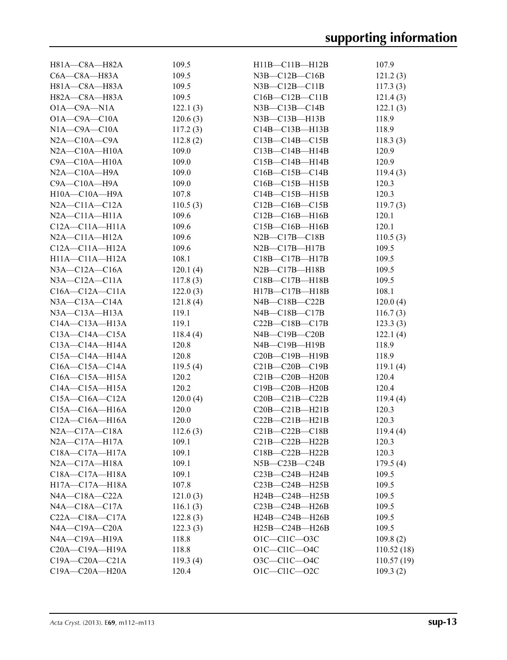| H81A-C8A-H82A                                | 109.5             | $H11B - C11B - H12B$                         | 107.9             |
|----------------------------------------------|-------------------|----------------------------------------------|-------------------|
| $C6A - C8A - H83A$                           | 109.5             | $N3B - C12B - C16B$                          | 121.2(3)          |
| H81A-C8A-H83A                                | 109.5             | $N3B - C12B - C11B$                          | 117.3(3)          |
| H82A-C8A-H83A                                | 109.5             | $C16B - C12B - C11B$                         | 121.4(3)          |
| $O1A - C9A - N1A$                            | 122.1(3)          | $N3B$ — $C13B$ — $C14B$                      | 122.1(3)          |
| $O1A - C9A - C10A$                           | 120.6(3)          | $N3B - C13B - H13B$                          | 118.9             |
| $N1A - C9A - C10A$                           | 117.2(3)          | $C14B - C13B - H13B$                         | 118.9             |
| $N2A - C10A - C9A$                           | 112.8(2)          | $C13B - C14B - C15B$                         | 118.3(3)          |
| $N2A - C10A - H10A$                          | 109.0             | $C13B - C14B - H14B$                         | 120.9             |
| $C9A - C10A - H10A$                          | 109.0             | $C15B - C14B - H14B$                         | 120.9             |
| $N2A - C10A - H9A$                           | 109.0             | $C16B - C15B - C14B$                         | 119.4(3)          |
| $C9A - C10A - H9A$                           | 109.0             | $C16B - C15B - H15B$                         | 120.3             |
| H10A-C10A-H9A                                | 107.8             | $C14B - C15B - H15B$                         | 120.3             |
| $N2A - C11A - C12A$                          | 110.5(3)          | $C12B - C16B - C15B$                         | 119.7(3)          |
| $N2A - C11A - H11A$                          | 109.6             | $C12B - C16B - H16B$                         | 120.1             |
| $C12A - C11A - H11A$                         | 109.6             | $C15B - C16B - H16B$                         | 120.1             |
| $N2A - C11A - H12A$                          | 109.6             | $N2B$ —C17B—C18B                             | 110.5(3)          |
| $C12A - C11A - H12A$                         | 109.6             | $N2B - C17B - H17B$                          | 109.5             |
| $H11A - C11A - H12A$                         | 108.1             | $C18B - C17B - H17B$                         | 109.5             |
| $N3A - C12A - C16A$                          | 120.1(4)          | $N2B$ — $C17B$ —H18B                         | 109.5             |
| $N3A - C12A - C11A$                          | 117.8(3)          | $C18B - C17B - H18B$                         | 109.5             |
| $C16A - C12A - C11A$                         | 122.0(3)          | H17B-C17B-H18B                               | 108.1             |
| $N3A - C13A - C14A$                          | 121.8(4)          | $N4B$ — $C18B$ — $C22B$                      | 120.0(4)          |
| $N3A - C13A - H13A$                          | 119.1             | $N4B$ — $C18B$ — $C17B$                      | 116.7(3)          |
| $C14A - C13A - H13A$                         | 119.1             | $C22B - C18B - C17B$                         | 123.3(3)          |
| $C13A - C14A - C15A$                         | 118.4(4)          | $N4B - C19B - C20B$                          | 122.1(4)          |
| $C13A - C14A - H14A$                         | 120.8             | $N4B$ — $C19B$ —H19B                         | 118.9             |
| $C15A - C14A - H14A$                         | 120.8             | $C20B - C19B - H19B$                         | 118.9             |
| $C16A - C15A - C14A$                         |                   | $C21B-C20B-C19B$                             | 119.1(4)          |
|                                              | 119.5(4)<br>120.2 |                                              | 120.4             |
| $C16A - C15A - H15A$<br>$C14A - C15A - H15A$ | 120.2             | $C21B-C20B-H20B$                             | 120.4             |
| $C15A - C16A - C12A$                         |                   | $C19B - C20B - H20B$<br>$C20B - C21B - C22B$ |                   |
|                                              | 120.0(4)<br>120.0 | $C20B - C21B - H21B$                         | 119.4(4)<br>120.3 |
| $C15A - C16A - H16A$<br>$C12A - C16A - H16A$ |                   | $C22B - C21B - H21B$                         |                   |
| N2A-C17A-C18A                                | 120.0             |                                              | 120.3             |
|                                              | 112.6(3)<br>109.1 | $C21B-C22B-C18B$                             | 119.4(4)          |
| $N2A - C17A - H17A$                          |                   | $C21B-C22B-H22B$                             | 120.3             |
| $C18A - C17A - H17A$                         | 109.1             | $C18B - C22B - H22B$                         | 120.3             |
| $N2A - C17A - H18A$                          | 109.1             | $N5B-C23B-C24B$                              | 179.5(4)          |
| C18A-C17A-H18A                               | 109.1             | $C23B-C24B-H24B$                             | 109.5             |
| H17A-C17A-H18A                               | 107.8             | $C23B - C24B - H25B$                         | 109.5             |
| $NAA$ -C18A-C22A                             | 121.0(3)          | H24B-C24B-H25B                               | 109.5             |
| $NAA$ - $C18A$ - $C17A$                      | 116.1(3)          | $C23B-C24B-H26B$                             | 109.5             |
| $C22A - C18A - C17A$                         | 122.8(3)          | $H24B - C24B - H26B$                         | 109.5             |
| NA—C19A—C20A                                 | 122.3(3)          | $H25B - C24B - H26B$                         | 109.5             |
| N4A-C19A-H19A                                | 118.8             | $O1C$ — $Cl1C$ — $O3C$                       | 109.8(2)          |
| $C20A - C19A - H19A$                         | 118.8             | $O1C$ — $Cl1C$ — $O4C$                       | 110.52(18)        |
| $C19A - C20A - C21A$                         | 119.3(4)          | 03C-C11C-04C                                 | 110.57(19)        |
| C19A-C20A-H20A                               | 120.4             | $O1C - C11C - O2C$                           | 109.3(2)          |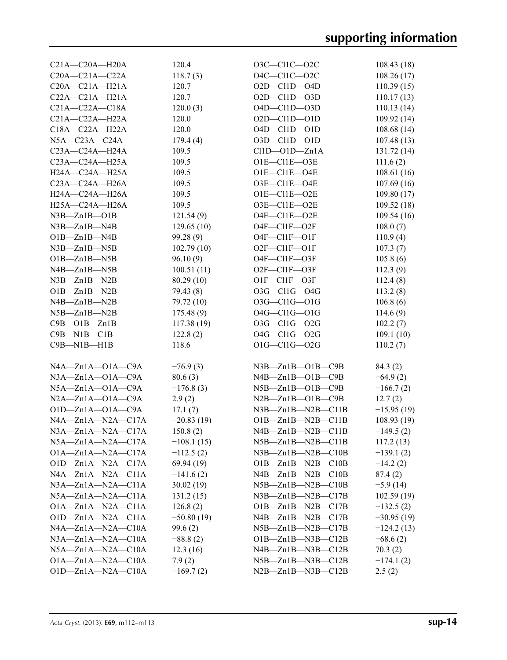| $C21A - C20A - H20A$      | 120.4        | O3C-C11C-O2C              | 108.43(18)   |
|---------------------------|--------------|---------------------------|--------------|
| $C20A - C21A - C22A$      | 118.7(3)     | $O4C$ -Cl1C- $O2C$        | 108.26(17)   |
| $C20A - C21A - H21A$      | 120.7        | $O2D$ -Cl1D-04D           | 110.39(15)   |
| $C22A - C21A - H21A$      | 120.7        | $O2D - Cl1D - O3D$        | 110.17(13)   |
| $C21A - C22A - C18A$      | 120.0(3)     | O4D-Cl1D-03D              | 110.13(14)   |
| $C21A - C22A - H22A$      | 120.0        | $O2D - Cl1D - O1D$        | 109.92(14)   |
| $C18A - C22A - H22A$      | 120.0        | $O4D$ — $Cl1D$ — $O1D$    | 108.68(14)   |
| $N5A-C23A-C24A$           | 179.4(4)     | $O3D$ -Cl1D- $O1D$        | 107.48(13)   |
| C23A-C24A-H24A            | 109.5        | $Cl1D$ — $O1D$ — $Zn1A$   | 131.72(14)   |
| $C23A - C24A - H25A$      | 109.5        | $O1E-C11E-O3E$            | 111.6(2)     |
| H24A-C24A-H25A            | 109.5        | O1E-Cl1E-O4E              | 108.61(16)   |
| C23A-C24A-H26A            | 109.5        | O3E-Cl1E-O4E              | 107.69(16)   |
| H24A-C24A-H26A            | 109.5        | $O1E-C11E-O2E$            | 109.80(17)   |
| H25A-C24A-H26A            | 109.5        | O3E-Cl1E-O2E              | 109.52(18)   |
| $N3B - Zn1B - O1B$        | 121.54(9)    | O4E-Cl1E-O2E              |              |
|                           |              | O4F-C11F-O2F              | 109.54(16)   |
| $N3B - Zn1B - N4B$        | 129.65(10)   |                           | 108.0(7)     |
| $O1B - Zn1B - N4B$        | 99.28(9)     | $O4F$ — $Cl1F$ — $O1F$    | 110.9(4)     |
| $N3B - Zn1B - N5B$        | 102.79(10)   | $O2F$ — $Cl1F$ — $O1F$    | 107.3(7)     |
| $O1B - Zn1B - N5B$        | 96.10(9)     | O4F-C11F-O3F              | 105.8(6)     |
| $N4B - Zn1B - N5B$        | 100.51(11)   | O2F-C11F-O3F              | 112.3(9)     |
| $N3B - Zn1B - N2B$        | 80.29(10)    | O1F-C11F-O3F              | 112.4(8)     |
| $O1B - Zn1B - N2B$        | 79.43(8)     | O3G-Cl1G-04G              | 113.2(8)     |
| $N4B - Zn1B - N2B$        | 79.72 (10)   | 03G-Cl1G-01G              | 106.8(6)     |
| $N5B - Zn1B - N2B$        | 175.48(9)    | 04G-Cl1G-01G              | 114.6(9)     |
| $C9B - O1B - Zn1B$        | 117.38(19)   | O3G-Cl1G-O2G              | 102.2(7)     |
| $C9B-M1B-C1B$             | 122.8(2)     | 04G-Cl1G-02G              | 109.1(10)    |
| $C9B-M1B-H1B$             | 118.6        | $O1G - Cl1G - O2G$        | 110.2(7)     |
|                           |              |                           |              |
| $NAA - Zn1A - O1A - C9A$  | $-76.9(3)$   | $N3B - Zn1B - O1B - C9B$  | 84.3 (2)     |
| $N3A - Zn1A - O1A - C9A$  | 80.6(3)      | $N4B - Zn1B - O1B - C9B$  | $-64.9(2)$   |
| $N5A - Zn1A - O1A - C9A$  | $-176.8(3)$  | $N5B - Zn1B - O1B - C9B$  | $-166.7(2)$  |
| $N2A - Zn1A - O1A - C9A$  | 2.9(2)       | $N2B - Zn1B - O1B - C9B$  | 12.7(2)      |
| $O1D - Zn1A - O1A - C9A$  | 17.1(7)      | $N3B - Zn1B - N2B - C11B$ | $-15.95(19)$ |
| $NAA - Zn1A - N2A - C17A$ | $-20.83(19)$ | $O1B - Zn1B - N2B - C11B$ | 108.93(19)   |
| $N3A - Zn1A - N2A - C17A$ | 150.8(2)     | $N4B - Zn1B - N2B - C11B$ | $-149.5(2)$  |
| $N5A - Zn1A - N2A - C17A$ | $-108.1(15)$ | $N5B - Zn1B - N2B - C11B$ | 117.2(13)    |
| $O1A - Zn1A - N2A - C17A$ | $-112.5(2)$  | $N3B - Zn1B - N2B - C10B$ | $-139.1(2)$  |
| $O1D - Zn1A - N2A - C17A$ | 69.94 (19)   | $O1B - Zn1B - N2B - C10B$ | $-14.2(2)$   |
| NA—Zn1A—N2A—C11A          | $-141.6(2)$  | $N4B - Zn1B - N2B - C10B$ | 87.4 (2)     |
| $N3A - Zn1A - N2A - C11A$ | 30.02(19)    | $N5B - Zn1B - N2B - C10B$ | $-5.9(14)$   |
| $N5A - Zn1A - N2A - C11A$ | 131.2(15)    | $N3B - Zn1B - N2B - C17B$ | 102.59(19)   |
| $O1A - Zn1A - N2A - C11A$ | 126.8(2)     | $O1B - Zn1B - N2B - C17B$ | $-132.5(2)$  |
| $O1D - Zn1A - N2A - C11A$ | $-50.80(19)$ | $N4B - Zn1B - N2B - C17B$ | $-30.95(19)$ |
| NA—Zn1A—N2A—C10A          | 99.6 (2)     | $N5B - Zn1B - N2B - C17B$ | $-124.2(13)$ |
| $N3A - Zn1A - N2A - C10A$ | $-88.8(2)$   | $O1B - Zn1B - N3B - C12B$ | $-68.6(2)$   |
| $N5A - Zn1A - N2A - C10A$ | 12.3(16)     | $N4B - Zn1B - N3B - C12B$ | 70.3(2)      |
| $O1A - Zn1A - N2A - C10A$ | 7.9(2)       | $N5B - Zn1B - N3B - C12B$ | $-174.1(2)$  |
| $O1D - Zn1A - N2A - C10A$ | $-169.7(2)$  | $N2B - Zn1B - N3B - C12B$ | 2.5(2)       |
|                           |              |                           |              |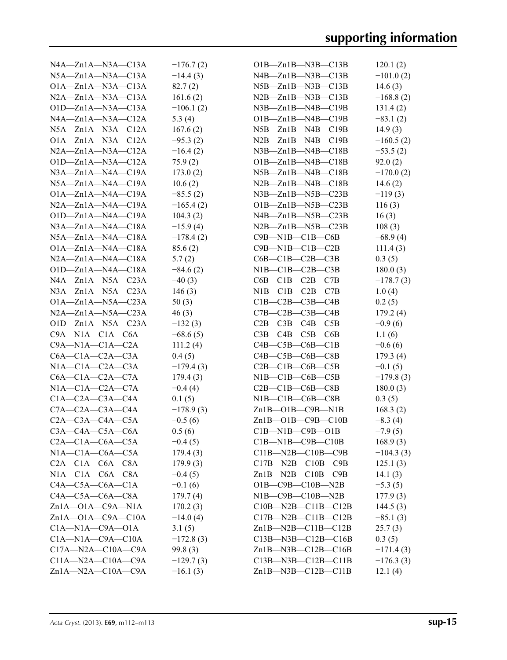| $N4A - Zn1A - N3A - C13A$     | $-176.7(2)$ | $O1B - Zn1B - N3B - C13B$        | 120.1(2)    |
|-------------------------------|-------------|----------------------------------|-------------|
| $N5A - Zn1A - N3A - C13A$     | $-14.4(3)$  | $N4B - Zn1B - N3B - C13B$        | $-101.0(2)$ |
| $O1A - Zn1A - N3A - C13A$     | 82.7(2)     | $N5B - Zn1B - N3B - C13B$        | 14.6(3)     |
| $N2A - Zn1A - N3A - C13A$     | 161.6(2)    | $N2B - Zn1B - N3B - C13B$        | $-168.8(2)$ |
| $O1D - Zn1A - N3A - C13A$     | $-106.1(2)$ | $N3B - Zn1B - N4B - C19B$        | 131.4(2)    |
| $NAA - Zn1A - N3A - C12A$     | 5.3 $(4)$   | $O1B - Zn1B - N4B - C19B$        | $-83.1(2)$  |
| $N5A - Zn1A - N3A - C12A$     | 167.6(2)    | $N5B - Zn1B - N4B - C19B$        | 14.9(3)     |
| $O1A - Zn1A - N3A - C12A$     | $-95.3(2)$  | $N2B - Zn1B - N4B - C19B$        | $-160.5(2)$ |
| $N2A - Zn1A - N3A - C12A$     | $-16.4(2)$  | $N3B - Zn1B - N4B - C18B$        | $-53.5(2)$  |
| $O1D - Zn1A - N3A - C12A$     | 75.9(2)     | $O1B - Zn1B - N4B - C18B$        | 92.0(2)     |
| $N3A - Zn1A - N4A - C19A$     | 173.0(2)    | $N5B - Zn1B - N4B - C18B$        | $-170.0(2)$ |
| $N5A - Zn1A - N4A - C19A$     | 10.6(2)     | $N2B - Zn1B - N4B - C18B$        | 14.6 $(2)$  |
| $O1A - Zn1A - N4A - C19A$     | $-85.5(2)$  | $N3B - Zn1B - N5B - C23B$        | $-119(3)$   |
| $N2A - Zn1A - N4A - C19A$     | $-165.4(2)$ | $O1B - Zn1B - N5B - C23B$        | 116(3)      |
| $O1D - Zn1A - N4A - C19A$     | 104.3(2)    | $N4B - Zn1B - N5B - C23B$        | 16(3)       |
| $N3A - Zn1A - N4A - C18A$     | $-15.9(4)$  | $N2B - Zn1B - N5B - C23B$        | 108(3)      |
| $N5A - Zn1A - N4A - C18A$     | $-178.4(2)$ | $C9B-M1B-C1B-C6B$                | $-68.9(4)$  |
| $O1A - Zn1A - N4A - C18A$     | 85.6(2)     | $C9B-M1B-C1B-C2B$                | 111.4(3)    |
| $N2A - Zn1A - N4A - C18A$     | 5.7(2)      | $C6B - C1B - C2B - C3B$          | 0.3(5)      |
| $O1D - Zn1A - N4A - C18A$     | $-84.6(2)$  | NIB—C1B—C2B—C3B                  | 180.0(3)    |
| $NAA - Zn1A - N5A - C23A$     | $-40(3)$    | $C6B - C1B - C2B - C7B$          | $-178.7(3)$ |
| $N3A - Zn1A - N5A - C23A$     | 146(3)      | NIB—C1B—C2B—C7B                  | 1.0(4)      |
| $O1A - Zn1A - N5A - C23A$     | 50(3)       | $C1B - C2B - C3B - C4B$          | 0.2(5)      |
| $N2A - Zn1A - N5A - C23A$     | 46(3)       | $C7B - C2B - C3B - C4B$          | 179.2(4)    |
| $O1D - Zn1A - N5A - C23A$     | $-132(3)$   | $C2B$ — $C3B$ — $C4B$ — $C5B$    | $-0.9(6)$   |
| $C9A - N1A - C1A - C6A$       | $-68.6(5)$  | $C3B - C4B - C5B - C6B$          | 1.1(6)      |
| $C9A - N1A - C1A - C2A$       | 111.2(4)    | $C4B - C5B - C6B - C1B$          | $-0.6(6)$   |
| $C6A - C1A - C2A - C3A$       | 0.4(5)      | $C4B - C5B - C6B - C8B$          | 179.3(4)    |
| $N1A - C1A - C2A - C3A$       | $-179.4(3)$ | $C2B-C1B-C6B-C5B$                | $-0.1(5)$   |
| $C6A - C1A - C2A - C7A$       | 179.4(3)    | NIB—C1B—C6B—C5B                  | $-179.8(3)$ |
| $NIA$ — $C1A$ — $C2A$ — $C7A$ | $-0.4(4)$   | $C2B-C1B-C6B-C8B$                | 180.0(3)    |
| $C1A - C2A - C3A - C4A$       | 0.1(5)      | NIB—C1B—C6B—C8B                  | 0.3(5)      |
| $C7A - C2A - C3A - C4A$       | $-178.9(3)$ | $Zn1B$ — $O1B$ — $C9B$ — $N1B$   | 168.3(2)    |
| $C2A - C3A - C4A - C5A$       | $-0.5(6)$   | $Zn1B - O1B - C9B - C10B$        | $-8.3(4)$   |
| $C3A - C4A - C5A - C6A$       | 0.5(6)      | $C1B-M1B-C9B-O1B$                | $-7.9(5)$   |
| $C2A - C1A - C6A - C5A$       | $-0.4(5)$   | $C1B-M1B-C9B-C10B$               | 168.9(3)    |
| $NIA$ — $C1A$ — $C6A$ — $C5A$ | 179.4(3)    | $C11B - N2B - C10B - C9B$        | $-104.3(3)$ |
| $C2A - C1A - C6A - C8A$       | 179.9(3)    | $C17B - N2B - C10B - C9B$        | 125.1(3)    |
| $N1A - C1A - C6A - C8A$       | $-0.4(5)$   | $Zn1B-M2B-C10B-C9B$              | 14.1 $(3)$  |
| $C4A-C5A-C6A-C1A$             | $-0.1(6)$   | $O1B$ — $C9B$ — $C10B$ — $N2B$   | $-5.3(5)$   |
| $C4A - C5A - C6A - C8A$       | 179.7(4)    | $NIB$ — $C9B$ — $C10B$ — $N2B$   | 177.9(3)    |
| $Zn1A - O1A - C9A - N1A$      | 170.2(3)    | $C10B - N2B - C11B - C12B$       | 144.5 $(3)$ |
| $Zn1A - O1A - C9A - C10A$     | $-14.0(4)$  | $C17B - N2B - C11B - C12B$       | $-85.1(3)$  |
| $C1A - N1A - C9A - O1A$       | 3.1(5)      | $Zn1B-M2B-C11B-C12B$             | 25.7(3)     |
| $C1A - N1A - C9A - C10A$      | $-172.8(3)$ | $C13B$ —N $3B$ —C $12B$ —C $16B$ | 0.3(5)      |
| $C17A - N2A - C10A - C9A$     | 99.8(3)     | $Zn1B$ —N3B—C12B—C16B            | $-171.4(3)$ |
| $C11A - N2A - C10A - C9A$     | $-129.7(3)$ | $C13B$ —N3B—C12B—C11B            | $-176.3(3)$ |
| $Zn1A-M2A-C10A-C9A$           | $-16.1(3)$  | $Zn1B$ —N3B—C12B—C11B            | 12.1(4)     |